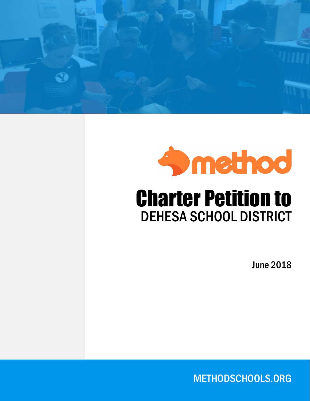

# Rethod

# Charter Petition to DEHESA SCHOOL DISTRICT

June 2018

Defense District | CHARTER PETHODSCHOOLS.ORG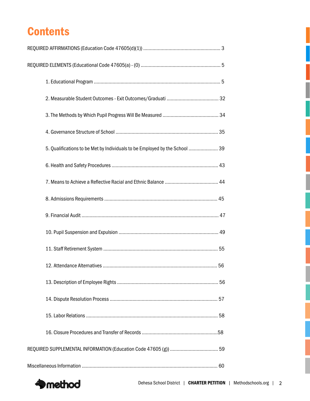# **Contents**

| 5. Qualifications to be Met by Individuals to be Employed by the School  39 |
|-----------------------------------------------------------------------------|
|                                                                             |
|                                                                             |
|                                                                             |
|                                                                             |
|                                                                             |
|                                                                             |
|                                                                             |
|                                                                             |
|                                                                             |
|                                                                             |
|                                                                             |
|                                                                             |
|                                                                             |

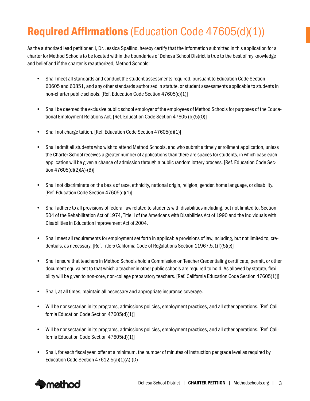# Required Affirmations (Education Code 47605(d)(1))

As the authorized lead petitioner, I, Dr. Jessica Spallino, hereby certify that the information submitted in this application for a charter for Method Schools to be located within the boundaries of Dehesa School District is true to the best of my knowledge and belief and if the charter is reauthorized, Method Schools:

- Shall meet all standards and conduct the student assessments required, pursuant to Education Code Section 60605 and 60851, and any other standards authorized in statute, or student assessments applicable to students in non-charter public schools. [Ref. Education Code Section 47605(c)(1)]
- Shall be deemed the exclusive public school employer of the employees of Method Schools for purposes of the Educational Employment Relations Act. [Ref. Education Code Section 47605 (b)(5)(O)]
- Shall not charge tuition. [Ref. Education Code Section 47605(d)(1)]
- Shall admit all students who wish to attend Method Schools, and who submit a timely enrollment application, unless the Charter School receives a greater number of applications than there are spaces for students, in which case each application will be given a chance of admission through a public random lottery process. [Ref. Education Code Section 47605(d)(2)(A)-(B)]
- Shall not discriminate on the basis of race, ethnicity, national origin, religion, gender, home language, or disability. [Ref. Education Code Section 47605(d)(1)]
- Shall adhere to all provisions of federal law related to students with disabilities including, but not limited to, Section 504 of the Rehabilitation Act of 1974, Title II of the Americans with Disabilities Act of 1990 and the Individuals with Disabilities in Education Improvement Act of 2004.
- Shall meet all requirements for employment set forth in applicable provisions of law,including, but not limited to, credentials, as necessary. [Ref. Title 5 California Code of Regulations Section 11967.5.1(f)(5)(c)]
- Shall ensure that teachers in Method Schools hold a Commission on Teacher Credentialing certificate, permit, or other document equivalent to that which a teacher in other public schools are required to hold. As allowed by statute, flexibility will be given to non-core, non-college preparatory teachers. [Ref. California Education Code Section 47605(1)]]
- Shall, at all times, maintain all necessary and appropriate insurance coverage.
- Will be nonsectarian in its programs, admissions policies, employment practices, and all other operations. [Ref. California Education Code Section 47605(d)(1)]
- Will be nonsectarian in its programs, admissions policies, employment practices, and all other operations. [Ref. California Education Code Section 47605(d)(1)]
- Shall, for each fiscal year, offer at a minimum, the number of minutes of instruction per grade level as required by Education Code Section 47612.5(a)(1)(A)-(D)

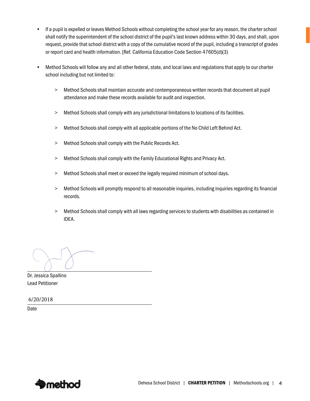- If a pupil is expelled or leaves Method Schools without completing the school year for any reason, the charter school shall notify the superintendent of the school district of the pupil's last known address within 30 days, and shall, upon request, provide that school district with a copy of the cumulative record of the pupil, including a transcript of grades or report card and health information. [Ref. California Education Code Section 47605(d)(3)
- Method Schools will follow any and all other federal, state, and local laws and regulations that apply to our charter school including but not limited to:
	- > Method Schools shall maintain accurate and contemporaneous written records that document all pupil attendance and make these records available for audit and inspection.
	- > Method Schools shall comply with any jurisdictional limitations to locations of its facilities.
	- > Method Schools shall comply with all applicable portions of the No Child Left Behind Act.
	- > Method Schools shall comply with the Public Records Act.
	- > Method Schools shall comply with the Family Educational Rights and Privacy Act.
	- > Method Schools shall meet or exceed the legally required minimum of school days.
	- > Method Schools will promptly respond to all reasonable inquiries, including inquiries regarding its financial records.
	- > Method Schools shall comply with all laws regarding services to students with disabilities as contained in IDEA.

Dr. Jessica Spallino Lead Petitioner

6/20/2018

Date

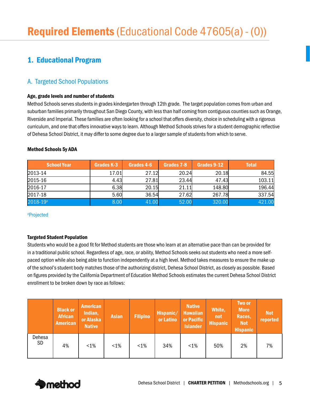# 1. Educational Program

# A. Targeted School Populations

#### Age, grade levels and number of students

Method Schools serves students in grades kindergarten through 12th grade. The target population comes from urban and suburban families primarily throughout San Diego County, with less than half coming from contiguous counties such as Orange, Riverside and Imperial. These families are often looking for a school that offers diversity, choice in scheduling with a rigorous curriculum, and one that offers innovative ways to learn. Although Method Schools strives for a student demographic reflective of Dehesa School District, it may differ to some degree due to a larger sample of students from which to serve.

| <b>School Year</b>   | <b>Grades K-3</b> | Grades 4-6 | Grades 7-8 | Grades 9-12 | <b>Total</b> |
|----------------------|-------------------|------------|------------|-------------|--------------|
| 2013-14              | 17.01             | 27.12      | 20.24      | 20.18       | 84.55        |
| 2015-16              | 4.43              | 27.81      | 23.44      | 47.43       | 103.11       |
| 2016-17              | 6.38              | 20.15      | 21.11      | 148.80      | 196.44       |
| 2017-18              | 5.60              | 36.54      | 27.62      | 267.78      | 337.54       |
| 2018-19 <sup>p</sup> | 8.00              | 41.00      | 52.00      | 320.00      | 421.00       |

#### Method Schools 5y ADA

p Projected

#### Targeted Student Population

Students who would be a good fit for Method students are those who learn at an alternative pace than can be provided for in a traditional public school. Regardless of age, race, or ability, Method Schools seeks out students who need a more selfpaced option while also being able to function independently at a high level. Method takes measures to ensure the make up of the school's student body matches those of the authorizing district, Dehesa School District, as closely as possible. Based on figures provided by the California Department of Education Method Schools estimates the current Dehesa School District enrollment to be broken down by race as follows:

|                     | <b>Black or</b><br><b>African</b><br><b>American</b> | <b>American</b><br>Indian,<br>or Alaska<br><b>Native</b> | <b>Asian</b> | <b>Filipino</b> | Hispanic/<br>or Latino | <b>Native</b><br><b>Hawaiian</b><br>or Pacific<br><b>Islander</b> | White,<br>not<br><b>Hispanic</b> | Two or<br><b>More</b><br>Races,<br><b>Not</b><br><b>Hispanic</b> | <b>Not</b><br>reported |
|---------------------|------------------------------------------------------|----------------------------------------------------------|--------------|-----------------|------------------------|-------------------------------------------------------------------|----------------------------------|------------------------------------------------------------------|------------------------|
| Dehesa<br><b>SD</b> | 4%                                                   | $< 1\%$                                                  | $< 1\%$      | $< 1\%$         | 34%                    | $< 1\%$                                                           | 50%                              | 2%                                                               | 7%                     |

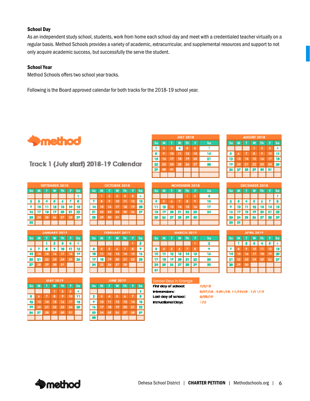#### School Day

As an independent study school, students, work from home each school day and meet with a credentialed teacher virtually on a regular basis. Method Schools provides a variety of academic, extracurricular, and supplemental resources and support to not only acquire academic success, but successfully the serve the student.

#### School Year

Method Schools offers two school year tracks.

Following is the Board approved calendar for both tracks for the 2018-19 school year.



# Track 1 (July start) 2018-19 Calendar

| SEPTEMBER 2018 |    |  |       |                        |              |    |  |  |  |
|----------------|----|--|-------|------------------------|--------------|----|--|--|--|
| Su             | M. |  | - W I | Th                     | F.           | Sa |  |  |  |
|                |    |  |       |                        |              |    |  |  |  |
|                |    |  |       | 7141111                | <b>7   0</b> |    |  |  |  |
|                | 10 |  |       | 11   12   13   14   15 |              |    |  |  |  |
|                |    |  |       | 17 18 19 39 31 32      |              |    |  |  |  |
|                |    |  |       | 24 25 26 27            | 28           |    |  |  |  |
|                |    |  |       |                        |              |    |  |  |  |

| <b>JANUARY 2019</b> |     |    |    |                      |    |                |  |  |  |
|---------------------|-----|----|----|----------------------|----|----------------|--|--|--|
| Su-                 | M   |    |    | $T$   W   Th $ $ $F$ |    | s <sub>a</sub> |  |  |  |
|                     |     |    |    | 1121314              |    |                |  |  |  |
| ٠.                  |     |    |    | 7   8   9   10   11  |    | 12             |  |  |  |
|                     | 14  | 15 | 16 | 17                   | 18 |                |  |  |  |
| an I                | īπ, | 22 | 23 | 24                   | 25 |                |  |  |  |
|                     | 28  | 29 | 30 | 31                   |    |                |  |  |  |
|                     |     |    |    |                      |    |                |  |  |  |

a Ÿ

 $16<sup>°</sup>$  $16<sup>°</sup>$  $17$  $\overline{\mathbf{10}}$ 

 $\bf{22}$  $\bf 23$  $24$ 

 $\overline{14}$ 13

τ

12

Ħ

26 lπ

 ${\bf 20}$  $\bf{21}$  4

 $\overline{\mathbf{u}}$ 

25

10

|    | <b>OCTOBER 2018</b> |    |    |    |    |    |  |  |  |  |  |
|----|---------------------|----|----|----|----|----|--|--|--|--|--|
| Su | м                   | T  | w  | Th | F  | Sa |  |  |  |  |  |
|    | 1                   | 2  | 3  | 4  | 5  |    |  |  |  |  |  |
|    | 8                   | ٠  | 10 | n  | 12 | u. |  |  |  |  |  |
| 14 | 15                  | 16 | 17 | 18 | 19 |    |  |  |  |  |  |
| 21 | 22                  | 23 | 24 | 25 | 24 |    |  |  |  |  |  |
|    | 29                  | 30 | 31 |    |    |    |  |  |  |  |  |
|    |                     |    |    |    |    |    |  |  |  |  |  |
|    |                     |    |    |    |    |    |  |  |  |  |  |

|    | <b>FEBRUARY 2019</b> |    |    |    |    |              |  |  |  |  |  |
|----|----------------------|----|----|----|----|--------------|--|--|--|--|--|
| Su | м                    | T  | w  | Th | F  | $s_{\alpha}$ |  |  |  |  |  |
|    |                      |    |    |    | ۱  |              |  |  |  |  |  |
|    | 4                    | s  | 8  | 7  | 8  |              |  |  |  |  |  |
|    | Ħ                    | 12 | 13 | 14 | 15 |              |  |  |  |  |  |
|    |                      | 19 | 20 | 21 | 22 |              |  |  |  |  |  |
|    | 25                   | 26 | 27 | 28 |    |              |  |  |  |  |  |
|    |                      |    |    |    |    |              |  |  |  |  |  |

|    | <b>FEBRUARY 2019</b> |    |    |    |    |    |  |  |  |  |
|----|----------------------|----|----|----|----|----|--|--|--|--|
| Ŝυ | м                    |    | w  | Th |    | Sa |  |  |  |  |
|    |                      |    |    |    | П  |    |  |  |  |  |
|    | 4                    | s  | 8  | 7  | 8  |    |  |  |  |  |
|    | Ħ                    | 12 | 13 | 14 | 16 |    |  |  |  |  |
|    |                      | 19 | 20 | 21 | 22 |    |  |  |  |  |
|    | 25                   | 26 | 27 | 28 |    |    |  |  |  |  |
|    |                      |    |    |    |    |    |  |  |  |  |

| <b>JUNE 2019</b> |    |    |    |    |    |    |  |  |
|------------------|----|----|----|----|----|----|--|--|
| Su               | м  | T  | w  | Th |    | Sa |  |  |
|                  |    |    |    |    |    |    |  |  |
| 2                | 3  | 4  | 5  | 6  | 7  |    |  |  |
|                  | 10 | 11 | 12 | 13 | 14 |    |  |  |
| 16               | 17 | 18 | 19 | 20 | 21 |    |  |  |
|                  | 24 | 25 | 26 | 27 | 28 |    |  |  |
|                  |    |    |    |    |    |    |  |  |

|             |          |    | <b>SuMTWHE</b>          |                |    | Sa |
|-------------|----------|----|-------------------------|----------------|----|----|
| $1 \cdot 2$ |          | Ð  |                         | 5              | 6  |    |
| <b>D</b>    |          | 10 | $\overline{\mathbf{1}}$ | $\sqrt{12}$ 13 |    | 14 |
| 13 16       |          | 17 | $18$                    | 19             | 20 | 31 |
| <b>22</b>   |          |    | 23 24 25 26 27          |                |    |    |
|             | FT 30 31 |    |                         |                |    |    |
|             |          |    |                         |                |    |    |

**JULY 2018** 

|     | <b>NOVEMBER 2018</b> |   |                |        |                         |           |  |  |  |  |
|-----|----------------------|---|----------------|--------|-------------------------|-----------|--|--|--|--|
| Su. | <b>M</b>             |   | W.             | - Th-I |                         | <b>Sa</b> |  |  |  |  |
|     |                      |   |                | ٦      | $\overline{\mathbf{2}}$ |           |  |  |  |  |
|     | s                    | А |                | 8      |                         | Р         |  |  |  |  |
|     |                      |   | 13 14 15 16    |        |                         |           |  |  |  |  |
|     |                      |   |                |        | 17   39   21   32   39  |           |  |  |  |  |
| 25  |                      |   | 26 27 28 29 30 |        |                         |           |  |  |  |  |
|     |                      |   |                |        |                         |           |  |  |  |  |

| <b>MARCH 2019</b> |             |   |                      |     |                      |    |  |  |
|-------------------|-------------|---|----------------------|-----|----------------------|----|--|--|
| $s_{0}$           | $\clubsuit$ |   | w                    | Th. |                      | Sa |  |  |
|                   |             |   |                      |     |                      |    |  |  |
|                   |             | 5 |                      |     | 8                    |    |  |  |
|                   |             |   | $121$ $13$ $14$ $16$ |     |                      |    |  |  |
|                   |             |   |                      |     | $  v  $ 39   31   32 |    |  |  |
|                   |             |   | 24 25 24 27 38 27    |     |                      |    |  |  |
|                   |             |   |                      |     |                      |    |  |  |

| AUGUST 2018 |    |      |    |                |     |              |  |  |
|-------------|----|------|----|----------------|-----|--------------|--|--|
| Su          | M  | î    | W  | Th             |     | $s_{\alpha}$ |  |  |
|             |    |      | ٦  | $\overline{2}$ | 3   |              |  |  |
| л           | 6  | 7    | 8  | ٠              | 10  |              |  |  |
| 12          | 13 | 14   | 15 | 16             | 17  |              |  |  |
|             | 20 | 21   | 22 | 23             | 24  |              |  |  |
|             |    | 28.1 | 42 | a a            | -81 |              |  |  |
|             |    |      |    |                |     |              |  |  |

| <b>DECEMBER 2018</b> |    |              |              |  |                            |           |  |  |
|----------------------|----|--------------|--------------|--|----------------------------|-----------|--|--|
| Su                   | -M |              | <b>IN</b> Th |  |                            | <b>Sa</b> |  |  |
|                      |    |              |              |  |                            |           |  |  |
|                      |    |              |              |  | .                          |           |  |  |
|                      |    |              |              |  | <b>9</b> 10 11 12 13 14 15 |           |  |  |
|                      |    |              |              |  | 14 17 18 19 20 21 22       |           |  |  |
|                      |    |              |              |  | 30 34 35 36 37 38 37       |           |  |  |
|                      |    | ao Iarl II I |              |  |                            |           |  |  |

| <b>APRIL 2019</b> |                |    |       |     |    |    |  |
|-------------------|----------------|----|-------|-----|----|----|--|
| <b>Su</b>         | $\overline{M}$ |    | w     | Th. | F  | Sa |  |
|                   |                |    | 21314 |     |    |    |  |
|                   | 8              | ٠  | 10    | п   | 12 |    |  |
|                   | 15             | 16 | 17    | 18  | 19 |    |  |
|                   | 22             | 23 | 24    | 25  | 26 |    |  |
|                   | 29             | 30 |       |     |    |    |  |
|                   |                |    |       |     |    |    |  |

| School Days in Orange |
|-----------------------|
| First day of schoat   |
| Intercessions:        |
| Last day of school:   |

**Instructional Days:** 

6/28/19 175

7/2/18

В/27/18-9/21/18; 11/19/18-1/11/19

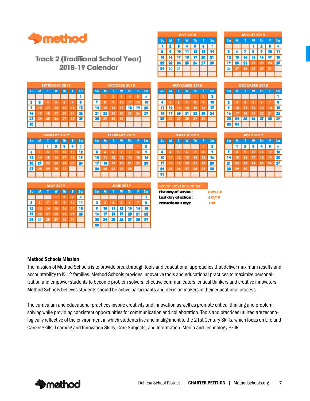

# **Track 2 (Traditional School Year)** 2018-19 Calendar

| <b>SEPTEMBER 2018</b> |    |    |    |    |    |    |  |  |
|-----------------------|----|----|----|----|----|----|--|--|
| SU                    | м  | ī  | W  | Th |    | Sa |  |  |
|                       |    |    |    |    |    |    |  |  |
|                       |    | 4  | 5  | 6  | 7  |    |  |  |
|                       | 10 | 11 | 12 | 13 | 14 |    |  |  |
|                       | 17 | 18 | 19 | 20 | 21 |    |  |  |
|                       | 24 | 25 | 26 | 27 | 28 |    |  |  |
|                       |    |    |    |    |    |    |  |  |

| <b>JANUARY 2019</b> |    |    |    |    |    |    |  |  |
|---------------------|----|----|----|----|----|----|--|--|
| Sυ                  | м  |    | W  | Th |    | Sa |  |  |
|                     |    |    | 2  |    |    |    |  |  |
|                     | 7  | 8  | ٠  | 10 | 11 |    |  |  |
| 13                  | 14 | 15 | 16 | 17 | 18 |    |  |  |
| 20                  | 粕  | 22 | 23 | 24 | 25 |    |  |  |
|                     | 28 | 29 | 30 | 31 |    |    |  |  |
|                     |    |    |    |    |    |    |  |  |

| OCTOBER 2018 |    |                         |    |       |    |    |  |  |
|--------------|----|-------------------------|----|-------|----|----|--|--|
| Sυ           | м  | т                       | w  | Th    | F  | Sa |  |  |
|              | 1  | $\overline{\mathbf{2}}$ | 3  | 4     | 5  |    |  |  |
| я            | 8  | 9                       | 10 | 11    | 12 |    |  |  |
| 14           | 15 | 16                      | 17 | 18 19 |    | 蚰  |  |  |
| 21           | 釉  | 23                      | 24 | 25    | 26 |    |  |  |
|              | 29 | 30                      | 31 |       |    |    |  |  |
|              |    |                         |    |       |    |    |  |  |

| <b>FEBRUARY 2019</b> |                            |    |    |    |    |    |  |
|----------------------|----------------------------|----|----|----|----|----|--|
| Sυ                   | м                          | T  | w  | Th | F  | Sa |  |
|                      |                            |    |    |    | ٦  |    |  |
|                      | 4                          | 5  | 4  | 7  | 8  |    |  |
| 10                   | 11                         | 12 | 13 | 14 | 15 |    |  |
| 17                   | $\boldsymbol{\mathsf{14}}$ | 19 | 20 | 21 | 22 |    |  |
|                      | 25                         | 26 | 27 | 28 |    |    |  |
|                      |                            |    |    |    |    |    |  |

| <b>JULY 2018</b> |  |  |          |                      |  |                            |  |  |
|------------------|--|--|----------|----------------------|--|----------------------------|--|--|
| Su               |  |  | <b>W</b> | Th.                  |  | <b>Sa</b>                  |  |  |
|                  |  |  |          | I 6.                 |  |                            |  |  |
|                  |  |  |          |                      |  | 9   10   11   12   13   14 |  |  |
|                  |  |  |          | 15 14 17 18 19 20 21 |  |                            |  |  |
|                  |  |  |          | 22 33 34 35 31 37 38 |  |                            |  |  |
|                  |  |  |          |                      |  |                            |  |  |
|                  |  |  |          |                      |  |                            |  |  |

| <b>AUGUST 2018</b> |    |                 |                |    |                |  |  |  |  |
|--------------------|----|-----------------|----------------|----|----------------|--|--|--|--|
| $s_{U}$            | м  | <b>Th</b><br>W. |                |    |                |  |  |  |  |
|                    |    |                 |                | 12 |                |  |  |  |  |
|                    |    |                 | $\blacksquare$ |    | $\sqrt{10}$    |  |  |  |  |
| 12                 |    |                 |                |    | 18 14 16 16 17 |  |  |  |  |
|                    |    | 22              |                | 23 | 24             |  |  |  |  |
|                    | 27 | 28              | 29             | 30 | 31             |  |  |  |  |
|                    |    |                 |                |    |                |  |  |  |  |

Ŧ Ŧ

 $\overline{\mathbf{16}}$ 

聋 ₩

| <b>NOVEMBER 2018</b> |     |          |    |                  |                |      |  |
|----------------------|-----|----------|----|------------------|----------------|------|--|
| \$u                  | M   |          |    | Th               |                | Sa   |  |
|                      |     |          |    |                  | $\overline{2}$ |      |  |
|                      | 5   | ه        | 7  | 8                | ۰              |      |  |
|                      | -12 | 13 14 15 |    |                  | 16             |      |  |
|                      |     |          |    | $19$ 39 31 32 38 |                | - 24 |  |
|                      | 26  | 27       | 28 | 129              | 30             |      |  |
|                      |     |          |    |                  |                |      |  |

|    |    |    | <b>MARCH 2019</b> |    |    |     |
|----|----|----|-------------------|----|----|-----|
| Su | M  |    | w                 | Th |    | \$a |
|    |    |    |                   |    | 1  |     |
|    | 4  | 5  | 6                 | 7  | 8  |     |
| 10 | 11 | 12 | 13                | 14 | 15 |     |
| 17 | 18 | 19 | 20                | 21 | 22 |     |
|    | 25 | 26 | 27                | 28 | 29 |     |
|    |    |    |                   |    |    |     |

| <b>APRIL 2019</b> |              |    |    |    |    |  |  |  |  |  |  |
|-------------------|--------------|----|----|----|----|--|--|--|--|--|--|
| s <sub>0</sub>    | M<br>Th<br>W |    |    |    |    |  |  |  |  |  |  |
|                   |              |    | 2  |    |    |  |  |  |  |  |  |
| ,                 | 8            | 9  | 10 | 11 | 12 |  |  |  |  |  |  |
| 14                | 15           | 16 | 17 | 18 | 19 |  |  |  |  |  |  |
| 21                | 22           | 23 | 24 | 25 | 26 |  |  |  |  |  |  |
|                   | 29           | 30 |    |    |    |  |  |  |  |  |  |
|                   |              |    |    |    |    |  |  |  |  |  |  |

 $12$ 

 $24 | 27 | 36$ 

| <b>MAY 2019</b> |              |                 |    |                |    |    |  |  |  |  |
|-----------------|--------------|-----------------|----|----------------|----|----|--|--|--|--|
| SU              | Th<br>M<br>W |                 |    |                |    |    |  |  |  |  |
|                 |              |                 | 1  | $\overline{2}$ | 3  |    |  |  |  |  |
| л               | 6            | 7               | 8  | 9              | 10 | 11 |  |  |  |  |
| 12              | 13           | $\overline{14}$ | 15 | 16             | 17 | 18 |  |  |  |  |
| 19              | 20           | 21              | 22 | 23             | 24 |    |  |  |  |  |
| -24<br>27       |              | 28              | 29 | 30             | 31 |    |  |  |  |  |
|                 |              |                 |    |                |    |    |  |  |  |  |

| <b>JUNE 2019</b> |          |   |          |                                    |  |    |  |  |  |
|------------------|----------|---|----------|------------------------------------|--|----|--|--|--|
| SU               | <b>M</b> |   |          | <b>TIWITHI</b>                     |  | Sa |  |  |  |
|                  |          |   |          |                                    |  |    |  |  |  |
|                  | 3        | Ø | <b>5</b> | ø                                  |  |    |  |  |  |
|                  |          |   |          | $9$   10   11   12   13   14   15  |  |    |  |  |  |
|                  |          |   |          | $14$ $17$ $18$ $19$ $20$ $21$ $22$ |  |    |  |  |  |
|                  |          |   |          | 38 34 35 36 37 38 39               |  |    |  |  |  |
|                  |          |   |          |                                    |  |    |  |  |  |

| School Days in Orange |
|-----------------------|
| First day of school:  |
| Last day of school:   |
| instructional Days:   |

8,22,18 6/7/19 180

я ٠ 10

 $\overline{14}$ 

蚰 **24 I** 24.1

#### Method Schools Mission

The mission of Method Schools is to provide breakthrough tools and educational approaches that deliver maximum results and accountability to K-12 families. Method Schools provides innovative tools and educational practices to maximize personalization and empower students to become problem solvers, effective communicators, critical thinkers and creative innovators. Method Schools believes students should be active participants and decision makers in their educational process.

The curriculum and educational practices inspire creativity and innovation as well as promote critical thinking and problem solving while providing consistent opportunities for communication and collaboration. Tools and practices utilized are technologically reflective of the environment in which students live and in alignment to the 21st Century Skills, which focus on Life and Career Skills, Learning and Innovation Skills, Core Subjects, and Information, Media and Technology Skills.

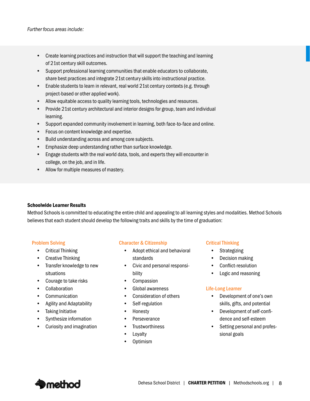- Create learning practices and instruction that will support the teaching and learning of 21st century skill outcomes.
- Support professional learning communities that enable educators to collaborate, share best practices and integrate 21st century skills into instructional practice.
- Enable students to learn in relevant, real world 21st century contexts (e.g. through project-based or other applied work).
- Allow equitable access to quality learning tools, technologies and resources.
- Provide 21st century architectural and interior designs for group, team and individual learning.
- Support expanded community involvement in learning, both face-to-face and online.
- Focus on content knowledge and expertise.
- Build understanding across and among core subjects.
- Emphasize deep understanding rather than surface knowledge.
- Engage students with the real world data, tools, and experts they will encounter in college, on the job, and in life.
- Allow for multiple measures of mastery.

#### Schoolwide Learner Results

Method Schools is committed to educating the entire child and appealing to all learning styles and modalities. Method Schools believes that each student should develop the following traits and skills by the time of graduation:

#### Problem Solving

- Critical Thinking
- Creative Thinking
- Transfer knowledge to new situations
- Courage to take risks
- Collaboration
- Communication
- Agility and Adaptability
- Taking Initiative
- Synthesize information
- Curiosity and imagination

#### Character & Citizenship

- Adopt ethical and behavioral standards
- Civic and personal responsibility
- **Compassion**
- Global awareness
- Consideration of others
- Self-regulation
- Honesty
- Perseverance
- **Trustworthiness**
- Loyalty
- Optimism

#### Critical Thinking

- Strategizing
- Decision making
- Conflict-resolution
- Logic and reasoning

#### Life-Long Learner

- Development of one's own skills, gifts, and potential
- Development of self-confidence and self-esteem
- Setting personal and professional goals

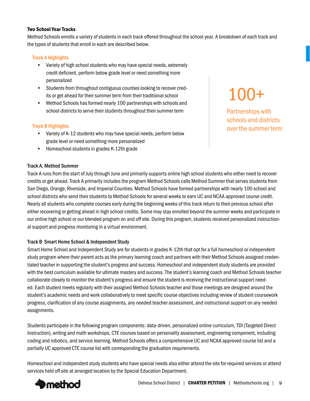#### Two School Year Tracks

Method Schools enrolls a variety of students in each track offered throughout the school year. A breakdown of each track and the types of students that enroll in each are described below.

#### Track A Highlights

- Variety of high school students who may have special needs, extremely credit deficient, perform below grade level or need something more personalized
- Students from throughout contiguous counties looking to recover credits or get ahead for their summer term from their traditional school
- Method Schools has formed nearly 100 partnerships with schools and school districts to serve their students throughout their summer term

#### Track B Highlights

- Variety of K-12 students who may have special needs, perform below grade level or need something more personalized
- Homeschool students in grades K-12th grade

#### Track A, Method Summer

Track A runs from the start of July through June and primarily supports online high school students who either need to recover credits or get ahead. Track A primarily includes the program Method Schools calls Method Summer that serves students from San Diego, Orange, Riverside, and Imperial Counties. Method Schools have formed partnerships with nearly 100 school and school districts who send their students to Method Schools for several weeks to earn UC and NCAA approved course credit. Nearly all students who complete courses early during the beginning weeks of this track return to their previous school after either recovering or getting ahead in high school credits. Some may stay enrolled beyond the summer weeks and participate in our online high school or our blended program on and off site. During this program, students received personalized instructional support and progress monitoring in a virtual environment.

#### Track B Smart Home School & Independent Study

Smart Home School and Independent Study are for students in grades K-12th that opt for a full homeschool or independent study program where their parent acts as the primary learning coach and partners with their Method Schools assigned credentialed teacher in supporting the student's progress and success. Homeschool and independent study students are provided with the best curriculum available for ultimate mastery and success. The student's learning coach and Method Schools teacher collaborate closely to monitor the student's progress and ensure the student is receiving the instructional support needed. Each student meets regularly with their assigned Method Schools teacher and those meetings are designed around the student's academic needs and work collaboratively to meet specific course objectives including review of student coursework progress, clarification of any course assignments, any needed teacher assessment, and instructional support on any needed assignments.

Students participate in the following program components: data-driven, personalized online curriculum, TDI (Targeted Direct Instruction), writing and math workshops, CTE courses based on personality assessment, engineering component, including coding and robotics, and service learning. Method Schools offers a comprehensive UC and NCAA approved course list and a partially UC approved CTE course list with corresponding the graduation requirements.

Homeschool and independent study students who have special needs also either attend the site for required services or attend services held off site at arranged location by the Special Education Department.



100+

Partnerships with schools and districts over the summer term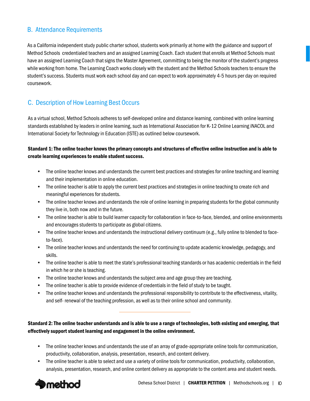## B. Attendance Requirements

As a California independent study public charter school, students work primarily at home with the guidance and support of Method Schools credentialed teachers and an assigned Learning Coach. Each student that enrolls at Method Schools must have an assigned Learning Coach that signs the Master Agreement, committing to being the monitor of the student's progress while working from home. The Learning Coach works closely with the student and the Method Schools teachers to ensure the student's success. Students must work each school day and can expect to work approximately 4-5 hours per day on required coursework.

# C. Description of How Learning Best Occurs

As a virtual school, Method Schools adheres to self-developed online and distance learning, combined with online learning standards established by leaders in online learning, such as International Association for K-12 Online Learning iNACOL and International Society for Technology in Education (ISTE) as outlined below coursework.

### Standard 1: The online teacher knows the primary concepts and structures of effective online instruction and is able to create learning experiences to enable student success.

- The online teacher knows and understands the current best practices and strategies for online teaching and learning and their implementation in online education.
- The online teacher is able to apply the current best practices and strategies in online teaching to create rich and meaningful experiences for students.
- The online teacher knows and understands the role of online learning in preparing students for the global community they live in, both now and in the future.
- The online teacher is able to build learner capacity for collaboration in face-to-face, blended, and online environments and encourages students to participate as global citizens.
- The online teacher knows and understands the instructional delivery continuum (e.g., fully online to blended to faceto-face).
- The online teacher knows and understands the need for continuing to update academic knowledge, pedagogy, and skills.
- The online teacher is able to meet the state's professional teaching standards or has academic credentials in the field in which he or she is teaching.
- The online teacher knows and understands the subject area and age group they are teaching.
- The online teacher is able to provide evidence of credentials in the field of study to be taught.
- The online teacher knows and understands the professional responsibility to contribute to the effectiveness, vitality, and self- renewal of the teaching profession, as well as to their online school and community.

## Standard 2: The online teacher understands and is able to use a range of technologies, both existing and emerging, that effectively support student learning and engagement in the online environment.

- The online teacher knows and understands the use of an array of grade-appropriate online tools for communication, productivity, collaboration, analysis, presentation, research, and content delivery.
- The online teacher is able to select and use a variety of online tools for communication, productivity, collaboration, analysis, presentation, research, and online content delivery as appropriate to the content area and student needs.

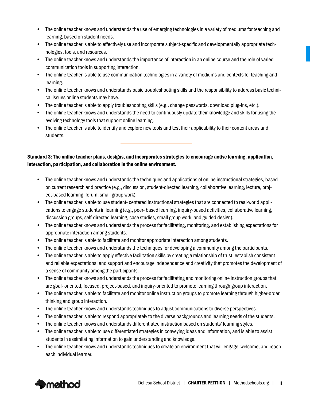- The online teacher knows and understands the use of emerging technologies in a variety of mediums for teaching and learning, based on student needs.
- The online teacher is able to effectively use and incorporate subject-specific and developmentally appropriate technologies, tools, and resources.
- The online teacher knows and understands the importance of interaction in an online course and the role of varied communication tools in supporting interaction.
- The online teacher is able to use communication technologies in a variety of mediums and contexts for teaching and learning.
- The online teacher knows and understands basic troubleshooting skills and the responsibility to address basic technical issues online students may have.
- The online teacher is able to apply troubleshooting skills (e.g., change passwords, download plug-ins, etc.).
- The online teacher knows and understands the need to continuously update their knowledge and skills for using the evolving technology tools that support online learning.
- The online teacher is able to identify and explore new tools and test their applicability to their content areas and students.

## Standard 3: The online teacher plans, designs, and incorporates strategies to encourage active learning, application, interaction, participation, and collaboration in the online environment.

- The online teacher knows and understands the techniques and applications of online instructional strategies, based on current research and practice (e.g., discussion, student-directed learning, collaborative learning, lecture, project-based learning, forum, small group work).
- The online teacher is able to use student- centered instructional strategies that are connected to real-world applications to engage students in learning (e.g., peer- based learning, inquiry-based activities, collaborative learning, discussion groups, self-directed learning, case studies, small group work, and guided design).
- The online teacher knows and understands the process for facilitating, monitoring, and establishing expectations for appropriate interaction among students.
- The online teacher is able to facilitate and monitor appropriate interaction among students.
- The online teacher knows and understands the techniques for developing a community among the participants.
- The online teacher is able to apply effective facilitation skills by creating a relationship of trust; establish consistent and reliable expectations; and support and encourage independence and creativity that promotes the development of a sense of community among the participants.
- The online teacher knows and understands the process for facilitating and monitoring online instruction groups that are goal- oriented, focused, project-based, and inquiry-oriented to promote learning through group interaction.
- The online teacher is able to facilitate and monitor online instruction groups to promote learning through higher-order thinking and group interaction.
- The online teacher knows and understands techniques to adjust communications to diverse perspectives.
- The online teacher is able to respond appropriately to the diverse backgrounds and learning needs of the students.
- The online teacher knows and understands differentiated instruction based on students' learning styles.
- The online teacher is able to use differentiated strategies in conveying ideas and information, and is able to assist students in assimilating information to gain understanding and knowledge.
- The online teacher knows and understands techniques to create an environment that will engage, welcome, and reach each individual learner.

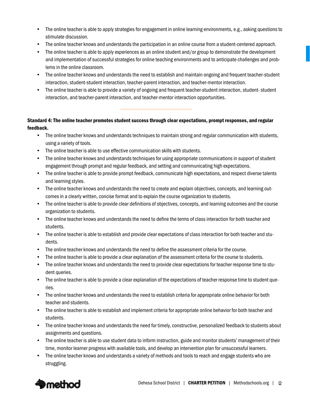- The online teacher is able to apply strategies for engagement in online learning environments, e.g., asking questions to stimulate discussion.
- The online teacher knows and understands the participation in an online course from a student-centered approach.
- The online teacher is able to apply experiences as an online student and/or group to demonstrate the development and implementation of successful strategies for online teaching environments and to anticipate challenges and problems in the online classroom.
- The online teacher knows and understands the need to establish and maintain ongoing and frequent teacher-student interaction, student-student interaction, teacher-parent interaction, and teacher-mentor interaction.
- The online teacher is able to provide a variety of ongoing and frequent teacher-student interaction, student- student interaction, and teacher-parent interaction, and teacher-mentor interaction opportunities.

## Standard 4: The online teacher promotes student success through clear expectations, prompt responses, and regular feedback.

- The online teacher knows and understands techniques to maintain strong and regular communication with students, using a variety of tools.
- The online teacher is able to use effective communication skills with students.
- The online teacher knows and understands techniques for using appropriate communications in support of student engagement through prompt and regular feedback, and setting and communicating high expectations.
- The online teacher is able to provide prompt feedback, communicate high expectations, and respect diverse talents and learning styles.
- The online teacher knows and understands the need to create and explain objectives, concepts, and learning outcomes in a clearly written, concise format and to explain the course organization to students.
- The online teacher is able to provide clear definitions of objectives, concepts, and learning outcomes and the course organization to students.
- The online teacher knows and understands the need to define the terms of class interaction for both teacher and students.
- The online teacher is able to establish and provide clear expectations of class interaction for both teacher and students.
- The online teacher knows and understands the need to define the assessment criteria for the course.
- The online teacher is able to provide a clear explanation of the assessment criteria for the course to students.
- The online teacher knows and understands the need to provide clear expectations for teacher response time to student queries.
- The online teacher is able to provide a clear explanation of the expectations of teacher response time to student queries.
- The online teacher knows and understands the need to establish criteria for appropriate online behavior for both teacher and students.
- The online teacher is able to establish and implement criteria for appropriate online behavior for both teacher and students.
- The online teacher knows and understands the need for timely, constructive, personalized feedback to students about assignments and questions.
- The online teacher is able to use student data to inform instruction, guide and monitor students' management of their time, monitor learner progress with available tools, and develop an intervention plan for unsuccessful learners.
- The online teacher knows and understands a variety of methods and tools to reach and engage students who are struggling.

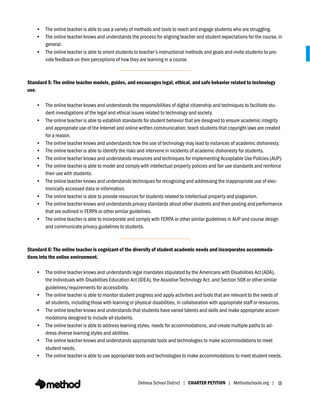- The online teacher is able to use a variety of methods and tools to reach and engage students who are struggling.
- The online teacher knows and understands the process for aligning teacher and student expectations for the course, in general.
- The online teacher is able to orient students to teacher's instructional methods and goals and invite students to provide feedback on their perceptions of how they are learning in a course.

## Standard 5: The online teacher models, guides, and encourages legal, ethical, and safe behavior related to technology use.

- The online teacher knows and understands the responsibilities of digital citizenship and techniques to facilitate student investigations of the legal and ethical issues related to technology and society.
- The online teacher is able to establish standards for student behavior that are designed to ensure academic integrity and appropriate use of the Internet and online written communication; teach students that copyright laws are created for a reason.
- The online teacher knows and understands how the use of technology may lead to instances of academic dishonesty.
- The online teacher is able to identify the risks and intervene in incidents of academic dishonesty for students.
- The online teacher knows and understands resources and techniques for implementing Acceptable Use Policies (AUP).
- The online teacher is able to model and comply with intellectual property policies and fair use standards and reinforce their use with students.
- The online teacher knows and understands techniques for recognizing and addressing the inappropriate use of electronically accessed data or information.
- The online teacher is able to provide resources for students related to intellectual property and plagiarism.
- The online teacher knows and understands privacy standards about other students and their posting and performance that are outlined in FERPA or other similar guidelines.
- The online teacher is able to incorporate and comply with FERPA or other similar guidelines in AUP and course design and communicate privacy guidelines to students.

## Standard 6: The online teacher is cognizant of the diversity of student academic needs and incorporates accommodations into the online environment.

- The online teacher knows and understands legal mandates stipulated by the Americans with Disabilities Act (ADA), the Individuals with Disabilities Education Act (IDEA), the Assistive Technology Act, and Section 508 or other similar guidelines/requirements for accessibility.
- The online teacher is able to monitor student progress and apply activities and tools that are relevant to the needs of all students, including those with learning or physical disabilities, in collaboration with appropriate staff or resources.
- The online teacher knows and understands that students have varied talents and skills and make appropriate accommodations designed to include all students.
- The online teacher is able to address learning styles, needs for accommodations, and create multiple paths to address diverse learning styles and abilities.
- The online teacher knows and understands appropriate tools and technologies to make accommodations to meet student needs.
- The online teacher is able to use appropriate tools and technologies to make accommodations to meet student needs.

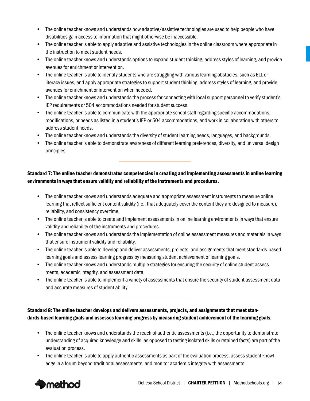- The online teacher knows and understands how adaptive/assistive technologies are used to help people who have disabilities gain access to information that might otherwise be inaccessible.
- The online teacher is able to apply adaptive and assistive technologies in the online classroom where appropriate in the instruction to meet student needs.
- The online teacher knows and understands options to expand student thinking, address styles of learning, and provide avenues for enrichment or intervention.
- The online teacher is able to identify students who are struggling with various learning obstacles, such as ELL or literacy issues, and apply appropriate strategies to support student thinking, address styles of learning, and provide avenues for enrichment or intervention when needed.
- The online teacher knows and understands the process for connecting with local support personnel to verify student's IEP requirements or 504 accommodations needed for student success.
- The online teacher is able to communicate with the appropriate school staff regarding specific accommodations, modifications, or needs as listed in a student's IEP or 504 accommodations, and work in collaboration with others to address student needs.
- The online teacher knows and understands the diversity of student learning needs, languages, and backgrounds.
- The online teacher is able to demonstrate awareness of different learning preferences, diversity, and universal design principles.

## Standard 7: The online teacher demonstrates competencies in creating and implementing assessments in online learning environments in ways that ensure validity and reliability of the instruments and procedures.

- The online teacher knows and understands adequate and appropriate assessment instruments to measure online learning that reflect sufficient content validity (i.e., that adequately cover the content they are designed to measure), reliability, and consistency over time.
- The online teacher is able to create and implement assessments in online learning environments in ways that ensure validity and reliability of the instruments and procedures.
- The online teacher knows and understands the implementation of online assessment measures and materials in ways that ensure instrument validity and reliability.
- The online teacher is able to develop and deliver assessments, projects, and assignments that meet standards-based learning goals and assess learning progress by measuring student achievement of learning goals.
- The online teacher knows and understands multiple strategies for ensuring the security of online student assessments, academic integrity, and assessment data.
- The online teacher is able to implement a variety of assessments that ensure the security of student assessment data and accurate measures of student ability.

## Standard 8: The online teacher develops and delivers assessments, projects, and assignments that meet standards-based learning goals and assesses learning progress by measuring student achievement of the learning goals.

- The online teacher knows and understands the reach of authentic assessments (i.e., the opportunity to demonstrate understanding of acquired knowledge and skills, as opposed to testing isolated skills or retained facts) are part of the evaluation process.
- The online teacher is able to apply authentic assessments as part of the evaluation process, assess student knowledge in a forum beyond traditional assessments, and monitor academic integrity with assessments.

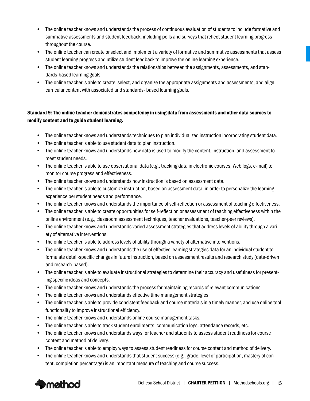- The online teacher knows and understands the process of continuous evaluation of students to include formative and summative assessments and student feedback, including polls and surveys that reflect student learning progress throughout the course.
- The online teacher can create or select and implement a variety of formative and summative assessments that assess student learning progress and utilize student feedback to improve the online learning experience.
- The online teacher knows and understands the relationships between the assignments, assessments, and standards-based learning goals.
- The online teacher is able to create, select, and organize the appropriate assignments and assessments, and align curricular content with associated and standards- based learning goals.

## Standard 9: The online teacher demonstrates competency in using data from assessments and other data sources to modify content and to guide student learning.

- The online teacher knows and understands techniques to plan individualized instruction incorporating student data.
- The online teacher is able to use student data to plan instruction.
- The online teacher knows and understands how data is used to modify the content, instruction, and assessment to meet student needs.
- The online teacher is able to use observational data (e.g., tracking data in electronic courses, Web logs, e-mail) to monitor course progress and effectiveness.
- The online teacher knows and understands how instruction is based on assessment data.
- The online teacher is able to customize instruction, based on assessment data, in order to personalize the learning experience per student needs and performance.
- The online teacher knows and understands the importance of self-reflection or assessment of teaching effectiveness.
- The online teacher is able to create opportunities for self-reflection or assessment of teaching effectiveness within the online environment (e.g., classroom assessment techniques, teacher evaluations, teacher-peer reviews).
- The online teacher knows and understands varied assessment strategies that address levels of ability through a variety of alternative interventions.
- The online teacher is able to address levels of ability through a variety of alternative interventions.
- The online teacher knows and understands the use of effective learning strategies data for an individual student to formulate detail-specific changes in future instruction, based on assessment results and research study (data-driven and research-based).
- The online teacher is able to evaluate instructional strategies to determine their accuracy and usefulness for presenting specific ideas and concepts.
- The online teacher knows and understands the process for maintaining records of relevant communications.
- The online teacher knows and understands effective time management strategies.
- The online teacher is able to provide consistent feedback and course materials in a timely manner, and use online tool functionality to improve instructional efficiency.
- The online teacher knows and understands online course management tasks.
- The online teacher is able to track student enrollments, communication logs, attendance records, etc.
- The online teacher knows and understands ways for teacher and students to assess student readiness for course content and method of delivery.
- The online teacher is able to employ ways to assess student readiness for course content and method of delivery.
- The online teacher knows and understands that student success (e.g., grade, level of participation, mastery of content, completion percentage) is an important measure of teaching and course success.

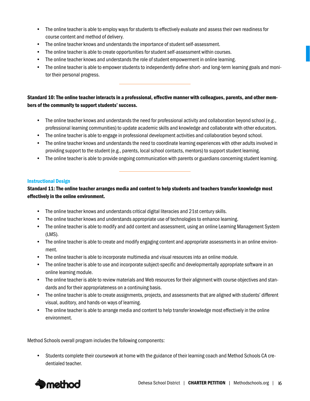- The online teacher is able to employ ways for students to effectively evaluate and assess their own readiness for course content and method of delivery.
- The online teacher knows and understands the importance of student self-assessment.
- The online teacher is able to create opportunities for student self-assessment within courses.
- The online teacher knows and understands the role of student empowerment in online learning.
- The online teacher is able to empower students to independently define short- and long-term learning goals and monitor their personal progress.

Standard 10: The online teacher interacts in a professional, effective manner with colleagues, parents, and other members of the community to support students' success.

- The online teacher knows and understands the need for professional activity and collaboration beyond school (e.g., professional learning communities) to update academic skills and knowledge and collaborate with other educators.
- The online teacher is able to engage in professional development activities and collaboration beyond school.
- The online teacher knows and understands the need to coordinate learning experiences with other adults involved in providing support to the student (e.g., parents, local school contacts, mentors) to support student learning.
- The online teacher is able to provide ongoing communication with parents or guardians concerning student learning.

#### Instructional Design

Standard 11: The online teacher arranges media and content to help students and teachers transfer knowledge most effectively in the online environment.

- The online teacher knows and understands critical digital literacies and 21st century skills.
- The online teacher knows and understands appropriate use of technologies to enhance learning.
- The online teacher is able to modify and add content and assessment, using an online Learning Management System (LMS).
- The online teacher is able to create and modify engaging content and appropriate assessments in an online environment.
- The online teacher is able to incorporate multimedia and visual resources into an online module.
- The online teacher is able to use and incorporate subject-specific and developmentally appropriate software in an online learning module.
- The online teacher is able to review materials and Web resources for their alignment with course objectives and standards and for their appropriateness on a continuing basis.
- The online teacher is able to create assignments, projects, and assessments that are aligned with students' different visual, auditory, and hands-on ways of learning.
- The online teacher is able to arrange media and content to help transfer knowledge most effectively in the online environment.

Method Schools overall program includes the following components:

• Students complete their coursework at home with the guidance of their learning coach and Method Schools CA credentialed teacher.

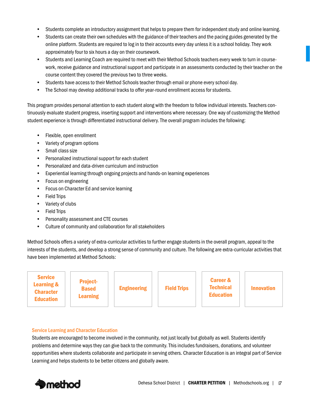- Students complete an introductory assignment that helps to prepare them for independent study and online learning.
- Students can create their own schedules with the guidance of their teachers and the pacing guides generated by the online platform. Students are required to log in to their accounts every day unless it is a school holiday. They work approximately four to six hours a day on their coursework.
- Students and Learning Coach are required to meet with their Method Schools teachers every week to turn in coursework, receive guidance and instructional support and participate in an assessments conducted by their teacher on the course content they covered the previous two to three weeks.
- Students have access to their Method Schools teacher through email or phone every school day.
- The School may develop additional tracks to offer year-round enrollment access for students.

This program provides personal attention to each student along with the freedom to follow individual interests. Teachers continuously evaluate student progress, inserting support and interventions where necessary. One way of customizing the Method student experience is through differentiated instructional delivery. The overall program includes the following:

- Flexible, open enrollment
- Variety of program options
- Small class size
- Personalized instructional support for each student
- Personalized and data-driven curriculum and instruction
- Experiential learning through ongoing projects and hands-on learning experiences
- Focus on engineering
- Focus on Character Ed and service learning
- Field Trips
- Variety of clubs
- Field Trips
- Personality assessment and CTE courses
- Culture of community and collaboration for all stakeholders

Method Schools offers a variety of extra-curricular activities to further engage students in the overall program, appeal to the interests of the students, and develop a strong sense of community and culture. The following are extra-curricular activities that have been implemented at Method Schools:



#### Service Learning and Character Education

Students are encouraged to become involved in the community, not just locally but globally as well. Students identify problems and determine ways they can give back to the community. This includes fundraisers, donations, and volunteer opportunities where students collaborate and participate in serving others. Character Education is an integral part of Service Learning and helps students to be better citizens and globally aware.

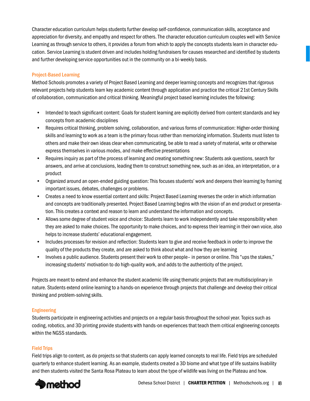Character education curriculum helps students further develop self-confidence, communication skills, acceptance and appreciation for diversity, and empathy and respect for others. The character education curriculum couples well with Service Learning as through service to others, it provides a forum from which to apply the concepts students learn in character education. Service Learning is student driven and includes holding fundraisers for causes researched and identified by students and further developing service opportunities out in the community on a bi-weekly basis.

#### Project-Based Learning

Method Schools promotes a variety of Project Based Learning and deeper learning concepts and recognizes that rigorous relevant projects help students learn key academic content through application and practice the critical 21st Century Skills of collaboration, communication and critical thinking. Meaningful project based learning includes the following:

- Intended to teach significant content: Goals for student learning are explicitly derived from content standards and key concepts from academic disciplines
- Requires critical thinking, problem solving, collaboration, and various forms of communication: Higher-order thinking skills and learning to work as a team is the primary focus rather than memorizing information. Students must listen to others and make their own ideas clear when communicating, be able to read a variety of material, write or otherwise express themselves in various modes, and make effective presentations
- Requires inquiry as part of the process of learning and creating something new: Students ask questions, search for answers, and arrive at conclusions, leading them to construct something new, such as an idea, an interpretation, or a product
- Organized around an open-ended guiding question: This focuses students' work and deepens their learning by framing important issues, debates, challenges or problems.
- Creates a need to know essential content and skills: Project Based Learning reverses the order in which information and concepts are traditionally presented. Project Based Learning begins with the vision of an end product or presentation. This creates a context and reason to learn and understand the information and concepts.
- Allows some degree of student voice and choice: Students learn to work independently and take responsibility when they are asked to make choices. The opportunity to make choices, and to express their learning in their own voice, also helps to increase students' educational engagement.
- Includes processes for revision and reflection: Students learn to give and receive feedback in order to improve the quality of the products they create, and are asked to think about what and how they are learning
- Involves a public audience. Students present their work to other people– in person or online. This "ups the stakes," increasing students' motivation to do high-quality work, and adds to the authenticity of the project.

Projects are meant to extend and enhance the student academic life using thematic projects that are multidisciplinary in nature. Students extend online learning to a hands-on experience through projects that challenge and develop their critical thinking and problem-solving skills.

#### Engineering

Students participate in engineering activities and projects on a regular basis throughout the school year. Topics such as coding, robotics, and 3D printing provide students with hands-on experiences that teach them critical engineering concepts within the NGSS standards.

#### Field Trips

Field trips align to content, as do projects so that students can apply learned concepts to real life. Field trips are scheduled quarterly to enhance student learning. As an example, students created a 3D biome and what type of life sustains livability and then students visited the Santa Rosa Plateau to learn about the type of wildlife was living on the Plateau and how.

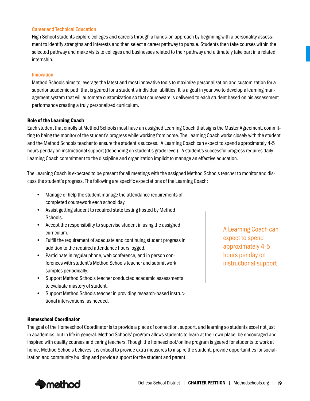#### Career and Technical Education

High School students explore colleges and careers through a hands-on approach by beginning with a personality assessment to identify strengths and interests and then select a career pathway to pursue. Students then take courses within the selected pathway and make visits to colleges and businesses related to their pathway and ultimately take part in a related internship.

#### Innovation

Method Schools aims to leverage the latest and most innovative tools to maximize personalization and customization for a superior academic path that is geared for a student's individual abilities. It is a goal in year two to develop a learning management system that will automate customization so that courseware is delivered to each student based on his assessment performance creating a truly personalized curriculum.

#### Role of the Learning Coach

Each student that enrolls at Method Schools must have an assigned Learning Coach that signs the Master Agreement, committing to being the monitor of the student's progress while working from home. The Learning Coach works closely with the student and the Method Schools teacher to ensure the student's success. A Learning Coach can expect to spend approximately 4-5 hours per day on instructional support (depending on student's grade level). A student's successful progress requires daily Learning Coach commitment to the discipline and organization implicit to manage an effective education.

The Learning Coach is expected to be present for all meetings with the assigned Method Schools teacher to monitor and discuss the student's progress. The following are specific expectations of the Learning Coach:

- Manage or help the student manage the attendance requirements of completed coursework each school day.
- Assist getting student to required state testing hosted by Method Schools.
- Accept the responsibility to supervise student in using the assigned curriculum.
- Fulfill the requirement of adequate and continuing student progress in addition to the required attendance hours logged.
- Participate in regular phone, web conference, and in person conferences with student's Method Schools teacher and submit work samples periodically.
- Support Method Schools teacher conducted academic assessments to evaluate mastery of student.
- Support Method Schools teacher in providing research-based instructional interventions, as needed.

A Learning Coach can expect to spend approximately 4-5 hours per day on instructional support

#### Homeschool Coordinator

The goal of the Homeschool Coordinator is to provide a place of connection, support, and learning so students excel not just in academics, but in life in general. Method Schools' program allows students to learn at their own place, be encouraged and inspired with quality courses and caring teachers. Though the homeschool/online program is geared for students to work at home, Method Schools believes it is critical to provide extra measures to inspire the student, provide opportunities for socialization and community building and provide support for the student and parent.

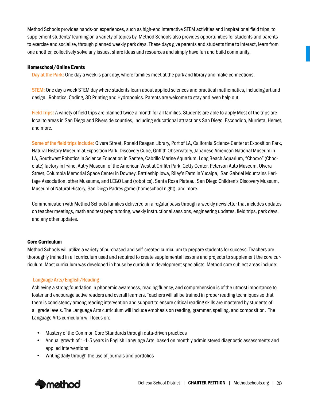Method Schools provides hands-on experiences, such as high-end interactive STEM activities and inspirational field trips, to supplement students' learning on a variety of topics by. Method Schools also provides opportunities for students and parents to exercise and socialize, through planned weekly park days. These days give parents and students time to interact, learn from one another, collectively solve any issues, share ideas and resources and simply have fun and build community.

#### Homeschool/Online Events

Day at the Park: One day a week is park day, where families meet at the park and library and make connections.

STEM: One day a week STEM day where students learn about applied sciences and practical mathematics, including art and design. Robotics, Coding, 3D Printing and Hydroponics. Parents are welcome to stay and even help out.

Field Trips: A variety of field trips are planned twice a month for all families. Students are able to apply Most of the trips are local to areas in San Diego and Riverside counties, including educational attractions San Diego. Escondido, Murrieta, Hemet, and more.

Some of the field trips include: Olvera Street, Ronald Reagan Library, Port of LA, California Science Center at Exposition Park, Natural History Museum at Exposition Park, Discovery Cube, Griffith Observatory, Japanese American National Museum in LA, Southwest Robotics in Science Education in Santee, Cabrillo Marine Aquarium, Long Beach Aquarium, "Chocxo" (Chocolate) factory in Irvine, Autry Museum of the American West at Griffith Park, Getty Center, Peterson Auto Museum, Olvera Street, Columbia Memorial Space Center in Downey, Battleship Iowa, Riley's Farm in Yucaipa, San Gabriel Mountains Heritage Association, other Museums, and LEGO Land (robotics), Santa Rosa Plateau, San Diego Children's Discovery Museum, Museum of Natural History, San Diego Padres game (homeschool night), and more.

Communication with Method Schools families delivered on a regular basis through a weekly newsletter that includes updates on teacher meetings, math and test prep tutoring, weekly instructional sessions, engineering updates, field trips, park days, and any other updates.

#### Core Curriculum

Method Schools will utilize a variety of purchased and self-created curriculum to prepare students for success. Teachers are thoroughly trained in all curriculum used and required to create supplemental lessons and projects to supplement the core curriculum. Most curriculum was developed in house by curriculum development specialists. Method core subject areas include:

#### Language Arts/English/Reading

Achieving a strong foundation in phonemic awareness, reading fluency, and comprehension is of the utmost importance to foster and encourage active readers and overall learners. Teachers will all be trained in proper reading techniques so that there is consistency among reading intervention and support to ensure critical reading skills are mastered by students of all grade levels. The Language Arts curriculum will include emphasis on reading, grammar, spelling, and composition. The Language Arts curriculum will focus on:

- Mastery of the Common Core Standards through data-driven practices
- Annual growth of 1-1-5 years in English Language Arts, based on monthly administered diagnostic assessments and applied interventions
- Writing daily through the use of journals and portfolios

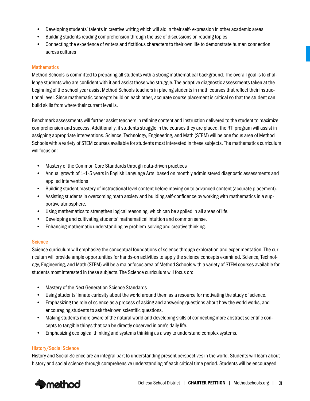- Developing students' talents in creative writing which will aid in their self- expression in other academic areas
- Building students reading comprehension through the use of discussions on reading topics
- Connecting the experience of writers and fictitious characters to their own life to demonstrate human connection across cultures

#### **Mathematics**

Method Schools is committed to preparing all students with a strong mathematical background. The overall goal is to challenge students who are confident with it and assist those who struggle. The adaptive diagnostic assessments taken at the beginning of the school year assist Method Schools teachers in placing students in math courses that reflect their instructional level. Since mathematic concepts build on each other, accurate course placement is critical so that the student can build skills from where their current level is.

Benchmark assessments will further assist teachers in refining content and instruction delivered to the student to maximize comprehension and success. Additionally, if students struggle in the courses they are placed, the RTI program will assist in assigning appropriate interventions. Science, Technology, Engineering, and Math (STEM) will be one focus area of Method Schools with a variety of STEM courses available for students most interested in these subjects. The mathematics curriculum will focus on:

- Mastery of the Common Core Standards through data-driven practices
- Annual growth of 1-1-5 years in English Language Arts, based on monthly administered diagnostic assessments and applied interventions
- Building student mastery of instructional level content before moving on to advanced content (accurate placement).
- Assisting students in overcoming math anxiety and building self-confidence by working with mathematics in a supportive atmosphere.
- Using mathematics to strengthen logical reasoning, which can be applied in all areas of life.
- Developing and cultivating students' mathematical intuition and common sense.
- Enhancing mathematic understanding by problem-solving and creative thinking.

#### **Science**

Science curriculum will emphasize the conceptual foundations of science through exploration and experimentation. The curriculum will provide ample opportunities for hands-on activities to apply the science concepts examined. Science, Technology, Engineering, and Math (STEM) will be a major focus area of Method Schools with a variety of STEM courses available for students most interested in these subjects. The Science curriculum will focus on:

- Mastery of the Next Generation Science Standards
- Using students' innate curiosity about the world around them as a resource for motivating the study of science.
- Emphasizing the role of science as a process of asking and answering questions about how the world works, and encouraging students to ask their own scientific questions.
- Making students more aware of the natural world and developing skills of connecting more abstract scientific concepts to tangible things that can be directly observed in one's daily life.
- Emphasizing ecological thinking and systems thinking as a way to understand complex systems.

#### History/Social Science

History and Social Science are an integral part to understanding present perspectives in the world. Students will learn about history and social science through comprehensive understanding of each critical time period. Students will be encouraged

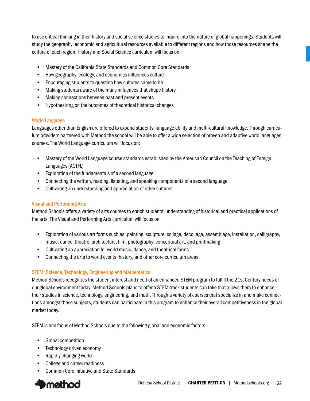to use critical thinking in their history and social science studies to inquire into the nature of global happenings. Students will study the geography, economic and agricultural resources available to different regions and how those resources shape the culture of each region. History and Social Science curriculum will focus on:

- Mastery of the California State Standards and Common Core Standards
- How geography, ecology, and economics influences culture
- Encouraging students to question how cultures came to be
- Making students aware of the many influences that shape history
- Making connections between past and present events
- Hypothesizing on the outcomes of theoretical historical changes

#### World Language

Languages other than English are offered to expand students' language ability and multi-cultural knowledge. Through curriculum providers partnered with Method the school will be able to offer a wide selection of proven and adaptive world languages courses. The World Language curriculum will focus on:

- Mastery of the World Language course standards established by the American Council on the Teaching of Foreign Languages (ACTFL)
- Exploration of the fundamentals of a second language
- Connecting the written, reading, listening, and speaking components of a second language
- Cultivating an understanding and appreciation of other cultures

#### Visual and Performing Arts

Method Schools offers a variety of arts courses to enrich students' understanding of historical and practical applications of the arts. The Visual and Performing Arts curriculum will focus on:

- Exploration of various art forms such as: painting, sculpture, collage, decollage, assemblage, installation, calligraphy, music, dance, theatre, architecture, film, photography, conceptual art, and printmaking
- Cultivating an appreciation for world music, dance, and theatrical forms
- Connecting the arts to world events, history, and other core curriculum areas

#### STEM: Science, Technology, Engineering and Mathematics

Method Schools recognizes the student interest and need of an enhanced STEM program to fulfill the 21st Century needs of our global environment today. Method Schools plans to offer a STEM track students can take that allows them to enhance their studies in science, technology, engineering, and math. Through a variety of courses that specialize in and make connections amongst these subjects, students can participate in this program to enhance their overall competitiveness in the global market today.

STEM is one focus of Method Schools due to the following global and economic factors:

- Global competition
- Technology driven economy
- Rapidly changing world
- College and career readiness
- Common Core Initiative and State Standards

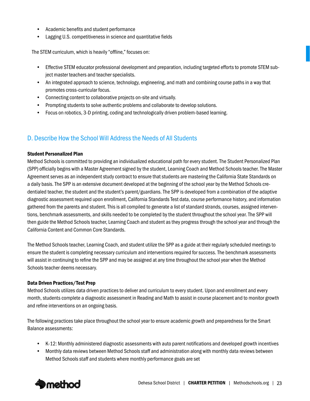- Academic benefits and student performance
- Lagging U.S. competitiveness in science and quantitative fields

The STEM curriculum, which is heavily "offline," focuses on:

- Effective STEM educator professional development and preparation, including targeted efforts to promote STEM subject master teachers and teacher specialists.
- An integrated approach to science, technology, engineering, and math and combining course paths in a way that promotes cross-curricular focus.
- Connecting content to collaborative projects on-site and virtually.
- Prompting students to solve authentic problems and collaborate to develop solutions.
- Focus on robotics, 3-D printing, coding and technologically driven problem-based learning.

## D. Describe How the School Will Address the Needs of All Students

#### Student Personalized Plan

Method Schools is committed to providing an individualized educational path for every student. The Student Personalized Plan (SPP) officially begins with a Master Agreement signed by the student, Learning Coach and Method Schools teacher. The Master Agreement serves as an independent study contract to ensure that students are mastering the California State Standards on a daily basis. The SPP is an extensive document developed at the beginning of the school year by the Method Schools credentialed teacher, the student and the student's parent/guardians. The SPP is developed from a combination of the adaptive diagnostic assessment required upon enrollment, California Standards Test data, course performance history, and information gathered from the parents and student. This is all compiled to generate a list of standard strands, courses, assigned interventions, benchmark assessments, and skills needed to be completed by the student throughout the school year. The SPP will then guide the Method Schools teacher, Learning Coach and student as they progress through the school year and through the California Content and Common Core Standards.

The Method Schools teacher, Learning Coach, and student utilize the SPP as a guide at their regularly scheduled meetings to ensure the student is completing necessary curriculum and interventions required for success. The benchmark assessments will assist in continuing to refine the SPP and may be assigned at any time throughout the school year when the Method Schools teacher deems necessary.

#### Data Driven Practices/Test Prep

Method Schools utilizes data driven practices to deliver and curriculum to every student. Upon and enrollment and every month, students complete a diagnostic assessment in Reading and Math to assist in course placement and to monitor growth and refine interventions on an ongoing basis.

The following practices take place throughout the school year to ensure academic growth and preparedness for the Smart Balance assessments:

- K-12: Monthly administered diagnostic assessments with auto parent notifications and developed growth incentives
- Monthly data reviews between Method Schools staff and administration along with monthly data reviews between Method Schools staff and students where monthly performance goals are set

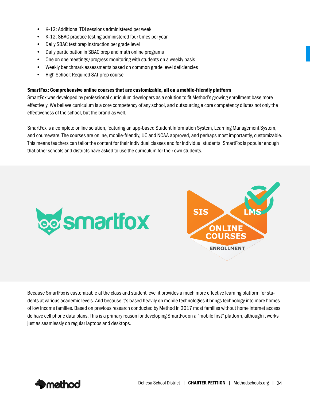- K-12: Additional TDI sessions administered per week
- K-12: SBAC practice testing administered four times per year
- Daily SBAC test prep instruction per grade level
- Daily participation in SBAC prep and math online programs
- One on one meetings/progress monitoring with students on a weekly basis
- Weekly benchmark assessments based on common grade level deficiencies
- High School: Required SAT prep course

#### SmartFox: Comprehensive online courses that are customizable, all on a mobile-friendly platform

SmartFox was developed by professional curriculum developers as a solution to fit Method's growing enrollment base more effectively. We believe curriculum is a core competency of any school, and outsourcing a core competency dilutes not only the effectiveness of the school, but the brand as well.

SmartFox is a complete online solution, featuring an app-based Student Information System, Learning Management System, and courseware. The courses are online, mobile-friendly, UC and NCAA approved, and perhaps most importantly, customizable. This means teachers can tailor the content for their individual classes and for individual students. SmartFox is popular enough that other schools and districts have asked to use the curriculum for their own students.





Because SmartFox is customizable at the class and student level it provides a much more effective learning platform for students at various academic levels. And because it's based heavily on mobile technologies it brings technology into more homes of low income families. Based on previous research conducted by Method in 2017 most families without home internet access do have cell phone data plans. This is a primary reason for developing SmartFox on a "mobile first" platform, although it works just as seamlessly on regular laptops and desktops.

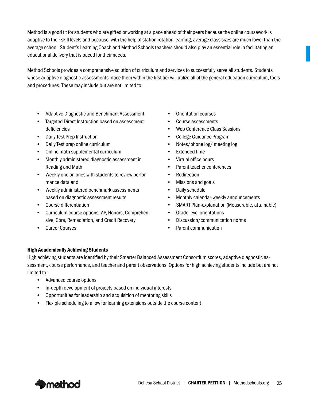Method is a good fit for students who are gifted or working at a pace ahead of their peers because the online coursework is adaptive to their skill levels and because, with the help of station rotation learning, average class sizes are much lower than the average school. Student's Learning Coach and Method Schools teachers should also play an essential role in facilitating an educational delivery that is paced for their needs.

Method Schools provides a comprehensive solution of curriculum and services to successfully serve all students. Students whose adaptive diagnostic assessments place them within the first tier will utilize all of the general education curriculum, tools and procedures. These may include but are not limited to:

- Adaptive Diagnostic and Benchmark Assessment
- Targeted Direct Instruction based on assessment deficiencies
- Daily Test Prep Instruction
- Daily Test prep online curriculum
- Online math supplemental curriculum
- Monthly administered diagnostic assessment in Reading and Math
- Weekly one on ones with students to review performance data and
- Weekly administered benchmark assessments based on diagnostic assessment results
- Course differentiation
- Curriculum course options: AP, Honors, Comprehensive, Core, Remediation, and Credit Recovery
- Career Courses
- Orientation courses
- Course assessments
- Web Conference Class Sessions
- College Guidance Program
- Notes/phone log/ meeting log
- **Extended time**
- Virtual office hours
- Parent teacher conferences
- Redirection
- Missions and goals
- Daily schedule
- Monthly calendar-weekly announcements
- SMART Plan-explanation (Measurable, attainable)
- Grade level orientations
- Discussion/communication norms
- Parent communication

#### High Academically Achieving Students

High achieving students are identified by their Smarter Balanced Assessment Consortium scores, adaptive diagnostic assessment, course performance, and teacher and parent observations. Options for high achieving students include but are not limited to:

- Advanced course options
- In-depth development of projects based on individual interests
- Opportunities for leadership and acquisition of mentoring skills
- Flexible scheduling to allow for learning extensions outside the course content

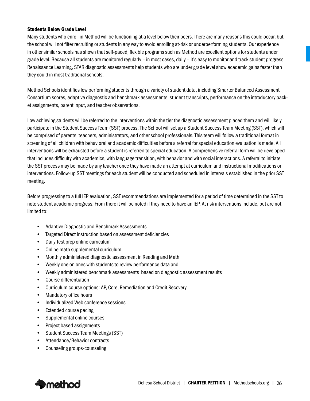#### Students Below Grade Level

Many students who enroll in Method will be functioning at a level below their peers. There are many reasons this could occur, but the school will not filter recruiting or students in any way to avoid enrolling at-risk or underperforming students. Our experience in other similar schools has shown that self-paced, flexible programs such as Method are excellent options for students under grade level. Because all students are monitored regularly – in most cases, daily – it's easy to monitor and track student progress. Renaissance Learning, STAR diagnostic assessments help students who are under grade level show academic gains faster than they could in most traditional schools.

Method Schools identifies low performing students through a variety of student data, including Smarter Balanced Assessment Consortium scores, adaptive diagnostic and benchmark assessments, student transcripts, performance on the introductory packet assignments, parent input, and teacher observations.

Low achieving students will be referred to the interventions within the tier the diagnostic assessment placed them and will likely participate in the Student Success Team (SST) process. The School will set up a Student Success Team Meeting (SST), which will be comprised of parents, teachers, administrators, and other school professionals. This team will follow a traditional format in screening of all children with behavioral and academic difficulties before a referral for special education evaluation is made. All interventions will be exhausted before a student is referred to special education. A comprehensive referral form will be developed that includes difficulty with academics, with language transition, with behavior and with social interactions. A referral to initiate the SST process may be made by any teacher once they have made an attempt at curriculum and instructional modifications or interventions. Follow-up SST meetings for each student will be conducted and scheduled in intervals established in the prior SST meeting.

Before progressing to a full IEP evaluation, SST recommendations are implemented for a period of time determined in the SST to note student academic progress. From there it will be noted if they need to have an IEP. At risk interventions include, but are not limited to:

- Adaptive Diagnostic and Benchmark Assessments
- Targeted Direct Instruction based on assessment deficiencies
- Daily Test prep online curriculum
- Online math supplemental curriculum
- Monthly administered diagnostic assessment in Reading and Math
- Weekly one on ones with students to review performance data and
- Weekly administered benchmark assessments based on diagnostic assessment results
- Course differentiation
- Curriculum course options: AP, Core, Remediation and Credit Recovery
- Mandatory office hours
- Individualized Web conference sessions
- Extended course pacing
- Supplemental online courses
- Project based assignments
- Student Success Team Meetings (SST)
- Attendance/Behavior contracts
- Counseling groups-counseling

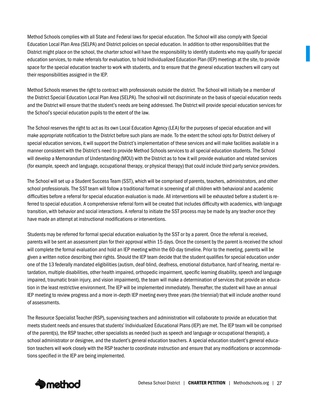Method Schools complies with all State and Federal laws for special education. The School will also comply with Special Education Local Plan Area (SELPA) and District policies on special education. In addition to other responsibilities that the District might place on the school, the charter school will have the responsibility to identify students who may qualify for special education services, to make referrals for evaluation, to hold Individualized Education Plan (IEP) meetings at the site, to provide space for the special education teacher to work with students, and to ensure that the general education teachers will carry out their responsibilities assigned in the IEP.

Method Schools reserves the right to contract with professionals outside the district. The School will initially be a member of the District Special Education Local Plan Area (SELPA). The school will not discriminate on the basis of special education needs and the District will ensure that the student's needs are being addressed. The District will provide special education services for the School's special education pupils to the extent of the law.

The School reserves the right to act as its own Local Education Agency (LEA) for the purposes of special education and will make appropriate notification to the District before such plans are made. To the extent the school opts for District delivery of special education services, it will support the District's implementation of these services and will make facilities available in a manner consistent with the District's need to provide Method Schools services to all special education students. The School will develop a Memorandum of Understanding (MOU) with the District as to how it will provide evaluation and related services (for example, speech and language, occupational therapy, or physical therapy) that could include third party service providers.

The School will set up a Student Success Team (SST), which will be comprised of parents, teachers, administrators, and other school professionals. The SST team will follow a traditional format in screening of all children with behavioral and academic difficulties before a referral for special education evaluation is made. All interventions will be exhausted before a student is referred to special education. A comprehensive referral form will be created that includes difficulty with academics, with language transition, with behavior and social interactions. A referral to initiate the SST process may be made by any teacher once they have made an attempt at instructional modifications or interventions.

Students may be referred for formal special education evaluation by the SST or by a parent. Once the referral is received, parents will be sent an assessment plan for their approval within 15 days. Once the consent by the parent is received the school will complete the formal evaluation and hold an IEP meeting within the 60-day timeline. Prior to the meeting, parents will be given a written notice describing their rights. Should the IEP team decide that the student qualifies for special education under one of the 13 federally mandated eligibilities (autism, deaf-blind, deafness, emotional disturbance, hard of hearing, mental retardation, multiple disabilities, other health impaired, orthopedic impairment, specific learning disability, speech and language impaired, traumatic brain injury, and vision impairment), the team will make a determination of services that provide an education in the least restrictive environment. The IEP will be implemented immediately. Thereafter, the student will have an annual IEP meeting to review progress and a more in-depth IEP meeting every three years (the triennial) that will include another round of assessments.

The Resource Specialist Teacher (RSP), supervising teachers and administration will collaborate to provide an education that meets student needs and ensures that students' Individualized Educational Plans (IEP) are met. The IEP team will be comprised of the parent(s), the RSP teacher, other specialists as needed (such as speech and language or occupational therapist), a school administrator or designee, and the student's general education teachers. A special education student's general education teachers will work closely with the RSP teacher to coordinate instruction and ensure that any modifications or accommodations specified in the IEP are being implemented.

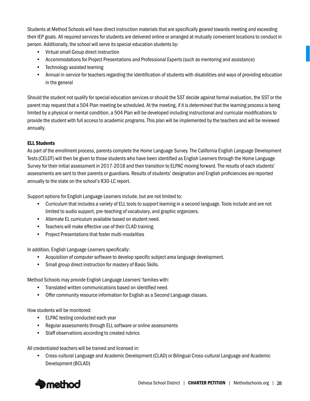Students at Method Schools will have direct instruction materials that are specifically geared towards meeting and exceeding their IEP goals. All required services for students are delivered online or arranged at mutually convenient locations to conduct in person. Additionally, the school will serve its special education students by:

- Virtual small Group direct instruction
- Accommodations for Project Presentations and Professional Experts (such as mentoring and assistance)
- Technology assisted learning
- Annual in-service for teachers regarding the identification of students with disabilities and ways of providing education in the general

Should the student not qualify for special education services or should the SST decide against formal evaluation, the SST or the parent may request that a 504 Plan meeting be scheduled. At the meeting, if it is determined that the learning process is being limited by a physical or mental condition, a 504 Plan will be developed including instructional and curricular modifications to provide the student with full access to academic programs. This plan will be implemented by the teachers and will be reviewed annually.

#### ELL Students

As part of the enrollment process, parents complete the Home Language Survey. The California English Language Development Tests (CELDT) will then be given to those students who have been identified as English Learners through the Home Language Survey for their initial assessment in 2017-2018 and then transition to ELPAC moving forward. The results of each students' assessments are sent to their parents or guardians. Results of students' designation and English proficiencies are reported annually to the state on the school's R30-LC report.

Support options for English Language Learners include, but are not limited to:

- Curriculum that includes a variety of ELL tools to support learning in a second language. Tools include and are not limited to audio support, pre-teaching of vocabulary, and graphic organizers.
- Alternate EL curriculum available based on student need.
- Teachers will make effective use of their CLAD training.
- Project Presentations that foster multi-modalities

In addition, English Language Learners specifically:

- Acquisition of computer software to develop specific subject area language development.
- Small group direct instruction for mastery of Basic Skills.

Method Schools may provide English Language Learners' families with:

- Translated written communications based on identified need.
- Offer community resource information for English as a Second Language classes.

How students will be monitored:

- ELPAC testing conducted each year
- Regular assessments through ELL software or online assessments
- Staff observations according to created rubrics

All credentialed teachers will be trained and licensed in:

• Cross-cultural Language and Academic Development (CLAD) or Bilingual Cross-cultural Language and Academic Development (BCLAD)

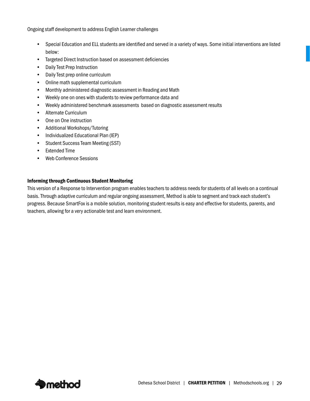Ongoing staff development to address English Learner challenges

- Special Education and ELL students are identified and served in a variety of ways. Some initial interventions are listed below:
- Targeted Direct Instruction based on assessment deficiencies
- Daily Test Prep Instruction
- Daily Test prep online curriculum
- Online math supplemental curriculum
- Monthly administered diagnostic assessment in Reading and Math
- Weekly one on ones with students to review performance data and
- Weekly administered benchmark assessments based on diagnostic assessment results
- Alternate Curriculum
- One on One instruction
- Additional Workshops/Tutoring
- Individualized Educational Plan (IEP)
- Student Success Team Meeting (SST)
- Extended Time
- Web Conference Sessions

#### Informing through Continuous Student Monitoring

This version of a Response to Intervention program enables teachers to address needs for students of all levels on a continual basis. Through adaptive curriculum and regular ongoing assessment, Method is able to segment and track each student's progress. Because SmartFox is a mobile solution, monitoring student results is easy and effective for students, parents, and teachers, allowing for a very actionable test and learn environment.

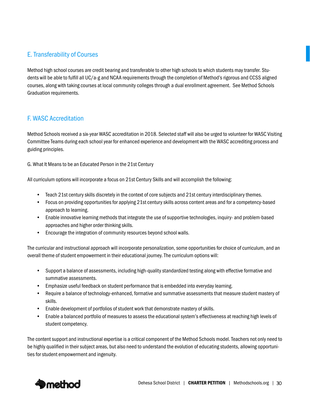# E. Transferability of Courses

Method high school courses are credit bearing and transferable to other high schools to which students may transfer. Students will be able to fulfill all UC/a-g and NCAA requirements through the completion of Method's rigorous and CCSS aligned courses, along with taking courses at local community colleges through a dual enrollment agreement. See Method Schools Graduation requirements.

# F. WASC Accreditation

Method Schools received a six-year WASC accreditation in 2018. Selected staff will also be urged to volunteer for WASC Visiting Committee Teams during each school year for enhanced experience and development with the WASC accrediting process and guiding principles.

G. What It Means to be an Educated Person in the 21st Century

All curriculum options will incorporate a focus on 21st Century Skills and will accomplish the following:

- Teach 21st century skills discretely in the context of core subjects and 21st century interdisciplinary themes.
- Focus on providing opportunities for applying 21st century skills across content areas and for a competency-based approach to learning.
- Enable innovative learning methods that integrate the use of supportive technologies, inquiry- and problem-based approaches and higher order thinking skills.
- Encourage the integration of community resources beyond school walls.

The curricular and instructional approach will incorporate personalization, some opportunities for choice of curriculum, and an overall theme of student empowerment in their educational journey. The curriculum options will:

- Support a balance of assessments, including high-quality standardized testing along with effective formative and summative assessments.
- Emphasize useful feedback on student performance that is embedded into everyday learning.
- Require a balance of technology-enhanced, formative and summative assessments that measure student mastery of skills.
- Enable development of portfolios of student work that demonstrate mastery of skills.
- Enable a balanced portfolio of measures to assess the educational system's effectiveness at reaching high levels of student competency.

The content support and instructional expertise is a critical component of the Method Schools model. Teachers not only need to be highly qualified in their subject areas, but also need to understand the evolution of educating students, allowing opportunities for student empowerment and ingenuity.

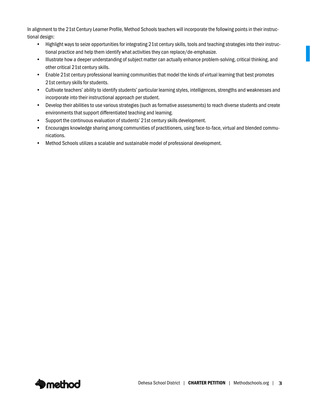In alignment to the 21st Century Learner Profile, Method Schools teachers will incorporate the following points in their instructional design:

- Highlight ways to seize opportunities for integrating 21st century skills, tools and teaching strategies into their instructional practice and help them identify what activities they can replace/de-emphasize.
- Illustrate how a deeper understanding of subject matter can actually enhance problem-solving, critical thinking, and other critical 21st century skills.
- Enable 21st century professional learning communities that model the kinds of virtual learning that best promotes 21st century skills for students.
- Cultivate teachers' ability to identify students' particular learning styles, intelligences, strengths and weaknesses and incorporate into their instructional approach per student.
- Develop their abilities to use various strategies (such as formative assessments) to reach diverse students and create environments that support differentiated teaching and learning.
- Support the continuous evaluation of students' 21st century skills development.
- Encourages knowledge sharing among communities of practitioners, using face-to-face, virtual and blended communications.
- Method Schools utilizes a scalable and sustainable model of professional development.

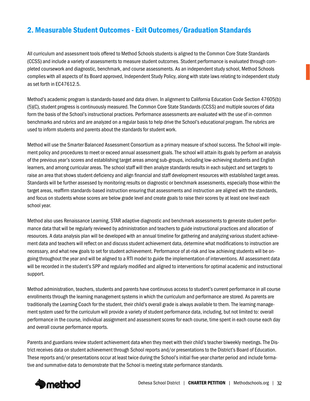# 2. Measurable Student Outcomes - Exit Outcomes/Graduation Standards

All curriculum and assessment tools offered to Method Schools students is aligned to the Common Core State Standards (CCSS) and include a variety of assessments to measure student outcomes. Student performance is evaluated through completed coursework and diagnostic, benchmark, and course assessments. As an independent study school, Method Schools complies with all aspects of its Board approved, Independent Study Policy, along with state laws relating to independent study as set forth in EC47612.5.

Method's academic program is standards-based and data driven. In alignment to California Education Code Section 47605(b) (5)(C), student progress is continuously measured. The Common Core State Standards (CCSS) and multiple sources of data form the basis of the School's instructional practices. Performance assessments are evaluated with the use of in-common benchmarks and rubrics and are analyzed on a regular basis to help drive the School's educational program. The rubrics are used to inform students and parents about the standards for student work.

Method will use the Smarter Balanced Assessment Consortium as a primary measure of school success. The School will implement policy and procedures to meet or exceed annual assessment goals. The school will attain its goals by perform an analysis of the previous year's scores and establishing target areas among sub-groups, including low-achieving students and English learners, and among curricular areas. The school staff will then analyze standards results in each subject and set targets to raise an area that shows student deficiency and align financial and staff development resources with established target areas. Standards will be further assessed by monitoring results on diagnostic or benchmark assessments, especially those within the target areas, reaffirm standards-based instruction ensuring that assessments and instruction are aligned with the standards, and focus on students whose scores are below grade level and create goals to raise their scores by at least one level each school year.

Method also uses Renaissance Learning, STAR adaptive diagnostic and benchmark assessments to generate student performance data that will be regularly reviewed by administration and teachers to guide instructional practices and allocation of resources. A data analysis plan will be developed with an annual timeline for gathering and analyzing various student achievement data and teachers will reflect on and discuss student achievement data, determine what modifications to instruction are necessary, and what new goals to set for student achievement. Performance of at-risk and low achieving students will be ongoing throughout the year and will be aligned to a RTI model to guide the implementation of interventions. All assessment data will be recorded in the student's SPP and regularly modified and aligned to interventions for optimal academic and instructional support.

Method administration, teachers, students and parents have continuous access to student's current performance in all course enrollments through the learning management systems in which the curriculum and performance are stored. As parents are traditionally the Learning Coach for the student, their child's overall grade is always available to them. The learning management system used for the curriculum will provide a variety of student performance data, including, but not limited to: overall performance in the course, individual assignment and assessment scores for each course, time spent in each course each day and overall course performance reports.

Parents and guardians review student achievement data when they meet with their child's teacher biweekly meetings. The District receives data on student achievement through School reports and/or presentations to the District's Board of Education. These reports and/or presentations occur at least twice during the School's initial five-year charter period and include formative and summative data to demonstrate that the School is meeting state performance standards.

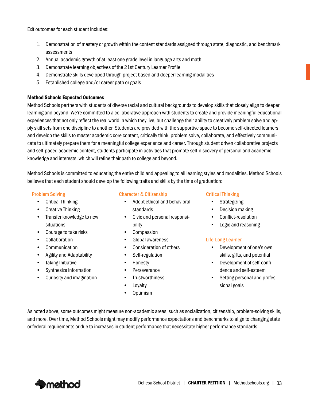Exit outcomes for each student includes:

- 1. Demonstration of mastery or growth within the content standards assigned through state, diagnostic, and benchmark assessments
- 2. Annual academic growth of at least one grade level in language arts and math
- 3. Demonstrate learning objectives of the 21st Century Learner Profile
- 4. Demonstrate skills developed through project based and deeper learning modalities
- 5. Established college and/or career path or goals

#### Method Schools Expected Outcomes

Method Schools partners with students of diverse racial and cultural backgrounds to develop skills that closely align to deeper learning and beyond. We're committed to a collaborative approach with students to create and provide meaningful educational experiences that not only reflect the real world in which they live, but challenge their ability to creatively problem solve and apply skill sets from one discipline to another. Students are provided with the supportive space to become self-directed learners and develop the skills to master academic core content, critically think, problem solve, collaborate, and effectively communicate to ultimately prepare them for a meaningful college experience and career. Through student driven collaborative projects and self-paced academic content, students participate in activities that promote self-discovery of personal and academic knowledge and interests, which will refine their path to college and beyond.

Method Schools is committed to educating the entire child and appealing to all learning styles and modalities. Method Schools believes that each student should develop the following traits and skills by the time of graduation:

#### Problem Solving

- Critical Thinking
- Creative Thinking
- Transfer knowledge to new situations
- Courage to take risks
- Collaboration
- Communication
- Agility and Adaptability
- Taking Initiative
- Synthesize information
- Curiosity and imagination

#### Character & Citizenship

- Adopt ethical and behavioral standards
- Civic and personal responsibility
- Compassion
- Global awareness
- Consideration of others
- Self-regulation
- Honesty
- **Perseverance**
- **Trustworthiness**
- **Loyalty**
- Optimism

#### Critical Thinking

- Strategizing
- Decision making
- Conflict-resolution
- Logic and reasoning

#### Life-Long Learner

- Development of one's own skills, gifts, and potential
- Development of self-confidence and self-esteem
- Setting personal and professional goals

As noted above, some outcomes might measure non-academic areas, such as socialization, citizenship, problem-solving skills, and more. Over time, Method Schools might may modify performance expectations and benchmarks to align to changing state or federal requirements or due to increases in student performance that necessitate higher performance standards.

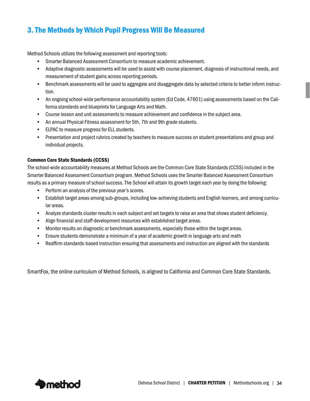# 3. The Methods by Which Pupil Progress Will Be Measured

Method Schools utilizes the following assessment and reporting tools:

- Smarter Balanced Assessment Consortium to measure academic achievement.
- Adaptive diagnostic assessments will be used to assist with course placement, diagnosis of instructional needs, and measurement of student gains across reporting periods.
- Benchmark assessments will be used to aggregate and disaggregate data by selected criteria to better inform instruction.
- An ongoing school-wide performance accountability system (Ed Code, 47601) using assessments based on the California standards and blueprints for Language Arts and Math.
- Course lesson and unit assessments to measure achievement and confidence in the subject area.
- An annual Physical Fitness assessment for 5th, 7th and 9th grade students.
- ELPAC to measure progress for ELL students.
- Presentation and project rubrics created by teachers to measure success on student presentations and group and individual projects.

#### Common Core State Standards (CCSS)

The school-wide accountability measures at Method Schools are the Common Core State Standards (CCSS) included in the Smarter Balanced Assessment Consortium program. Method Schools uses the Smarter Balanced Assessment Consortium results as a primary measure of school success. The School will attain its growth target each year by doing the following:

- Perform an analysis of the previous year's scores.
- Establish target areas among sub-groups, including low-achieving students and English learners, and among curricular areas.
- Analyze standards cluster results in each subject and set targets to raise an area that shows student deficiency.
- Align financial and staff development resources with established target areas.
- Monitor results on diagnostic or benchmark assessments, especially those within the target areas.
- Ensure students demonstrate a minimum of a year of academic growth in language arts and math
- Reaffirm standards-based instruction ensuring that assessments and instruction are aligned with the standards

SmartFox, the online curriculum of Method Schools, is aligned to California and Common Core State Standards.

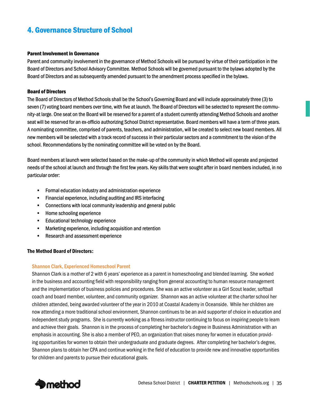# 4. Governance Structure of School

#### Parent Involvement in Governance

Parent and community involvement in the governance of Method Schools will be pursued by virtue of their participation in the Board of Directors and School Advisory Committee. Method Schools will be governed pursuant to the bylaws adopted by the Board of Directors and as subsequently amended pursuant to the amendment process specified in the bylaws.

#### Board of Directors

The Board of Directors of Method Schools shall be the School's Governing Board and will include approximately three (3) to seven (7) voting board members over time, with five at launch. The Board of Directors will be selected to represent the community-at large. One seat on the Board will be reserved for a parent of a student currently attending Method Schools and another seat will be reserved for an ex-officio authorizing School District representative. Board members will have a term of three years. A nominating committee, comprised of parents, teachers, and administration, will be created to select new board members. All new members will be selected with a track record of success in their particular sectors and a commitment to the vision of the school. Recommendations by the nominating committee will be voted on by the Board.

Board members at launch were selected based on the make-up of the community in which Method will operate and projected needs of the school at launch and through the first few years. Key skills that were sought after in board members included, in no particular order:

- Formal education industry and administration experience
- Financial experience, including auditing and IRS interfacing
- Connections with local community leadership and general public
- Home schooling experience
- Educational technology experience
- Marketing experience, including acquisition and retention
- Research and assessment experience

#### The Method Board of Directors:

#### Shannon Clark, Experienced Homeschool Parent

Shannon Clark is a mother of 2 with 6 years' experience as a parent in homeschooling and blended learning. She worked in the business and accounting field with responsibility ranging from general accounting to human resource management and the implementation of business policies and procedures. She was an active volunteer as a Girl Scout leader, softball coach and board member, volunteer, and community organizer. Shannon was an active volunteer at the charter school her children attended, being awarded volunteer of the year in 2010 at Coastal Academy in Oceanside. While her children are now attending a more traditional school environment, Shannon continues to be an avid supporter of choice in education and independent study programs. She is currently working as a fitness instructor continuing to focus on inspiring people to learn and achieve their goals. Shannon is in the process of completing her bachelor's degree in Business Administration with an emphasis in accounting. She is also a member of PEO, an organization that raises money for women in education providing opportunities for women to obtain their undergraduate and graduate degrees. After completing her bachelor's degree, Shannon plans to obtain her CPA and continue working in the field of education to provide new and innovative opportunities for children and parents to pursue their educational goals.

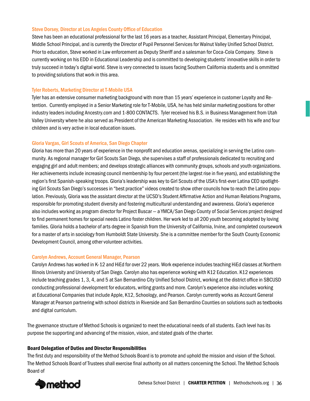#### Steve Dorsey, Director at Los Angeles County Office of Education

Steve has been an educational professional for the last 16 years as a teacher, Assistant Principal, Elementary Principal, Middle School Principal, and is currently the Director of Pupil Personnel Services for Walnut Valley Unified School District. Prior to education, Steve worked in Law enforcement as Deputy Sheriff and a salesman for Coca-Cola Company. Steve is currently working on his EDD in Educational Leadership and is committed to developing students' innovative skills in order to truly succeed in today's digital world. Steve is very connected to issues facing Southern California students and is ommitted to providing solutions that work in this area.

#### Tyler Roberts, Marketing Director at T-Mobile USA

Tyler has an extensive consumer marketing background with more than 15 years' experience in customer Loyalty and Retention. Currently employed in a Senior Marketing role for T-Mobile, USA, he has held similar marketing positions for other industry leaders including Ancestry.com and 1-800 CONTACTS. Tyler received his B.S. in Business Management from Utah Valley University where he also served as President of the American Marketing Association. He resides with his wife and four children and is very active in local education issues.

#### Gloria Vargas, Girl Scouts of America, San Diego Chapter

Gloria has more than 20 years of experience in the nonprofit and education arenas, specializing in serving the Latino community. As regional manager for Girl Scouts San Diego, she supervises a staff of professionals dedicated to recruiting and engaging girl and adult members; and develops strategic alliances with community groups, schools and youth organizations. Her achievements include increasing council membership by four percent (the largest rise in five years), and establishing the region's first Spanish-speaking troops. Gloria's leadership was key to Girl Scouts of the USA's first-ever Latina CEO spotlighting Girl Scouts San Diego's successes in "best practice" videos created to show other councils how to reach the Latino population. Previously, Gloria was the assistant director at the UCSD's Student Affirmative Action and Human Relations Programs, responsible for promoting student diversity and fostering multicultural understanding and awareness. Gloria's experience also includes working as program director for Project Buscar — a YMCA/San Diego County of Social Services project designed to find permanent homes for special needs Latino foster children. Her work led to all 200 youth becoming adopted by loving families. Gloria holds a bachelor of arts degree in Spanish from the University of California, Irvine, and completed coursework for a master of arts in sociology from Humboldt State University. She is a committee member for the South County Economic Development Council, among other volunteer activities.

#### Carolyn Andrews, Account General Manager, Pearson

Carolyn Andrews has worked in K-12 and HiEd for over 22 years. Work experience includes teaching HiEd classes at Northern Illinois University and University of San Diego. Carolyn also has experience working with K12 Education. K12 experiences include teaching grades 1, 3, 4, and 5 at San Bernardino City Unified School District, working at the district office in SBCUSD conducting professional development for educators, writing grants and more. Carolyn's experience also includes working at Educational Companies that include Apple, K12, Schoology, and Pearson. Carolyn currently works as Account General Manager at Pearson partnering with school districts in Riverside and San Bernardino Counties on solutions such as textbooks and digital curriculum.

The governance structure of Method Schools is organized to meet the educational needs of all students. Each level has its purpose the supporting and advancing of the mission, vision, and stated goals of the charter.

#### Board Delegation of Duties and Director Responsibilities

The first duty and responsibility of the Method Schools Board is to promote and uphold the mission and vision of the School. The Method Schools Board of Trustees shall exercise final authority on all matters concerning the School. The Method Schools Board of

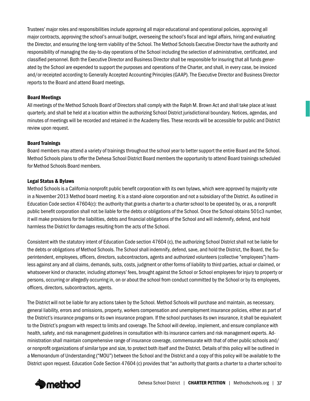Trustees' major roles and responsibilities include approving all major educational and operational policies, approving all major contracts, approving the school's annual budget, overseeing the school's fiscal and legal affairs, hiring and evaluating the Director, and ensuring the long-term viability of the School. The Method Schools Executive Director have the authority and responsibility of managing the day-to-day operations of the School including the selection of administrative, certificated, and classified personnel. Both the Executive Director and Business Director shall be responsible for insuring that all funds generated by the School are expended to support the purposes and operations of the Charter, and shall, in every case, be invoiced and/or receipted according to Generally Accepted Accounting Principles (GAAP). The Executive Director and Business Director reports to the Board and attend Board meetings.

#### Board Meetings

All meetings of the Method Schools Board of Directors shall comply with the Ralph M. Brown Act and shall take place at least quarterly, and shall be held at a location within the authorizing School District jurisdictional boundary. Notices, agendas, and minutes of meetings will be recorded and retained in the Academy files. These records will be accessible for public and District review upon request.

#### Board Trainings

Board members may attend a variety of trainings throughout the school year to better support the entire Board and the School. Method Schools plans to offer the Dehesa School District Board members the opportunity to attend Board trainings scheduled for Method Schools Board members.

#### Legal Status & Bylaws

Method Schools is a California nonprofit public benefit corporation with its own bylaws, which were approved by majority vote in a November 2013 Method board meeting. It is a stand-alone corporation and not a subsidiary of the District. As outlined in Education Code section 47604(c): the authority that grants a charter to a charter school to be operated by, or as, a nonprofit public benefit corporation shall not be liable for the debts or obligations of the School. Once the School obtains 501c3 number, it will make provisions for the liabilities, debts and financial obligations of the School and will indemnify, defend, and hold harmless the District for damages resulting from the acts of the School.

Consistent with the statutory intent of Education Code section 47604 (c), the authorizing School District shall not be liable for the debts or obligations of Method Schools. The School shall indemnify, defend, save, and hold the District, the Board, the Superintendent, employees, officers, directors, subcontractors, agents and authorized volunteers (collective "employees") harmless against any and all claims, demands, suits, costs, judgment or other forms of liability to third parties, actual or claimed, or whatsoever kind or character, including attorneys' fees, brought against the School or School employees for injury to property or persons, occurring or allegedly occurring in, on or about the school from conduct committed by the School or by its employees, officers, directors, subcontractors, agents.

The District will not be liable for any actions taken by the School. Method Schools will purchase and maintain, as necessary, general liability, errors and omissions, property, workers compensation and unemployment insurance policies, either as part of the District's insurance programs or its own insurance program. If the school purchases its own insurance, it shall be equivalent to the District's program with respect to limits and coverage. The School will develop, implement, and ensure compliance with health, safety, and risk management guidelines in consultation with its insurance carriers and risk management experts. Administration shall maintain comprehensive range of insurance coverage, commensurate with that of other public schools and/ or nonprofit organizations of similar type and size, to protect both itself and the District. Details of this policy will be outlined in a Memorandum of Understanding ("MOU") between the School and the District and a copy of this policy will be available to the District upon request. Education Code Section 47604 (c) provides that "an authority that grants a charter to a charter school to

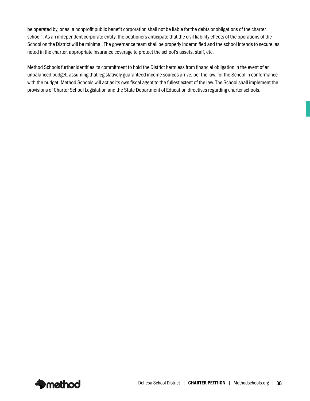be operated by, or as, a nonprofit public benefit corporation shall not be liable for the debts or obligations of the charter school". As an independent corporate entity, the petitioners anticipate that the civil liability effects of the operations of the School on the District will be minimal. The governance team shall be properly indemnified and the school intends to secure, as noted in the charter, appropriate insurance coverage to protect the school's assets, staff, etc.

Method Schools further identifies its commitment to hold the District harmless from financial obligation in the event of an unbalanced budget, assuming that legislatively guaranteed income sources arrive, per the law, for the School in conformance with the budget. Method Schools will act as its own fiscal agent to the fullest extent of the law. The School shall implement the provisions of Charter School Legislation and the State Department of Education directives regarding charter schools.

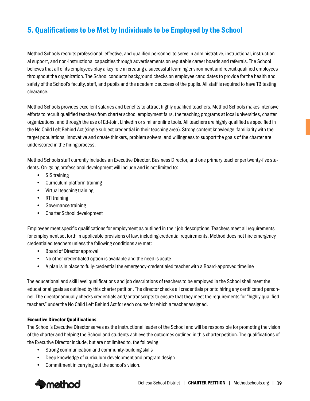# 5. Qualifications to be Met by Individuals to be Employed by the School

Method Schools recruits professional, effective, and qualified personnel to serve in administrative, instructional, instructional support, and non-instructional capacities through advertisements on reputable career boards and referrals. The School believes that all of its employees play a key role in creating a successful learning environment and recruit qualified employees throughout the organization. The School conducts background checks on employee candidates to provide for the health and safety of the School's faculty, staff, and pupils and the academic success of the pupils. All staff is required to have TB testing clearance.

Method Schools provides excellent salaries and benefits to attract highly qualified teachers. Method Schools makes intensive efforts to recruit qualified teachers from charter school employment fairs, the teaching programs at local universities, charter organizations, and through the use of Ed-Join, LinkedIn or similar online tools. All teachers are highly qualified as specified in the No Child Left Behind Act (single subject credential in their teaching area). Strong content knowledge, familiarity with the target populations, innovative and create thinkers, problem solvers, and willingness to support the goals of the charter are underscored in the hiring process.

Method Schools staff currently includes an Executive Director, Business Director, and one primary teacher per twenty-five students. On-going professional development will include and is not limited to:

- SIS training
- Curriculum platform training
- Virtual teaching training
- RTI training
- Governance training
- Charter School development

Employees meet specific qualifications for employment as outlined in their job descriptions. Teachers meet all requirements for employment set forth in applicable provisions of law, including credential requirements. Method does not hire emergency credentialed teachers unless the following conditions are met:

- Board of Director approval
- No other credentialed option is available and the need is acute
- A plan is in place to fully-credential the emergency-credentialed teacher with a Board-approved timeline

The educational and skill level qualifications and job descriptions of teachers to be employed in the School shall meet the educational goals as outlined by this charter petition. The director checks all credentials prior to hiring any certificated personnel. The director annually checks credentials and/or transcripts to ensure that they meet the requirements for "highly qualified teachers" under the No Child Left Behind Act for each course for which a teacher assigned.

#### Executive Director Qualifications

The School's Executive Director serves as the instructional leader of the School and will be responsible for promoting the vision of the charter and helping the School and students achieve the outcomes outlined in this charter petition. The qualifications of the Executive Director include, but are not limited to, the following:

- Strong communication and community-building skills
- Deep knowledge of curriculum development and program design
- Commitment in carrying out the school's vision.

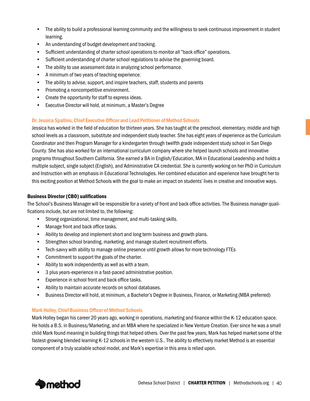- The ability to build a professional learning community and the willingness to seek continuous improvement in student learning.
- An understanding of budget development and tracking.
- Sufficient understanding of charter school operations to monitor all "back office" operations.
- Sufficient understanding of charter school regulations to advise the governing board.
- The ability to use assessment data in analyzing school performance.
- A minimum of two years of teaching experience.
- The ability to advise, support, and inspire teachers, staff, students and parents
- Promoting a noncompetitive environment.
- Create the opportunity for staff to express ideas.
- Executive Director will hold, at minimum, a Master's Degree

#### Dr. Jessica Spallino, Chief Executive Officer and Lead Petitioner of Method Schools

Jessica has worked in the field of education for thirteen years. She has taught at the preschool, elementary, middle and high school levels as a classroom, substitute and independent study teacher. She has eight years of experience as the Curriculum Coordinator and then Program Manager for a kindergarten through twelfth grade independent study school in San Diego County. She has also worked for an international curriculum company where she helped launch schools and innovative programs throughout Southern California. She earned a BA in English/Education, MA in Educational Leadership and holds a multiple subject, single subject (English), and Administrative CA credential. She is currently working on her PhD in Curriculum and Instruction with an emphasis in Educational Technologies. Her combined education and experience have brought her to this exciting position at Method Schools with the goal to make an impact on students' lives in creative and innovative ways.

#### Business Director (CBO) ualifications

The School's Business Manager will be responsible for a variety of front and back office activities. The Business manager qualifications include, but are not limited to, the following:

- Strong organizational, time management, and multi-tasking skills.
- Manage front and back office tasks.
- Ability to develop and implement short and long term business and growth plans.
- Strengthen school branding, marketing, and manage student recruitment efforts.
- Tech-savvy with ability to manage online presence until growth allows for more technology FTEs
- Commitment to support the goals of the charter.
- Ability to work independently as well as with a team.
- 3 plus years-experience in a fast-paced administrative position.
- Experience in school front and back office tasks.
- Ability to maintain accurate records on school databases.
- Business Director will hold, at minimum, a Bachelor's Degree in Business, Finance, or Marketing (MBA preferred)

#### Mark Holley, Chief Business Officer of Method Schools

Mark Holley began his career 20 years ago, working in operations, marketing and finance within the K-12 education space. He holds a B.S. in Business/Marketing, and an MBA where he specialized in New Venture Creation. Ever since he was a small child Mark found meaning in building things that helped others. Over the past few years, Mark has helped market some of the fastest-growing blended learning K-12 schools in the western U.S.. The ability to effectively market Method is an essential component of a truly scalable school model, and Mark's expertise in this area is relied upon.

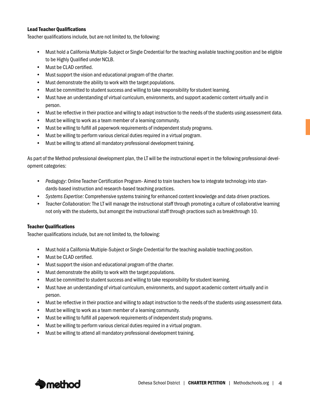#### Lead Teacher Qualifications

Teacher qualifications include, but are not limited to, the following:

- Must hold a California Multiple-Subject or Single Credential for the teaching available teaching position and be eligible to be Highly Qualified under NCLB.
- Must be CLAD certified.
- Must support the vision and educational program of the charter.
- Must demonstrate the ability to work with the target populations.
- Must be committed to student success and willing to take responsibility for student learning.
- Must have an understanding of virtual curriculum, environments, and support academic content virtually and in person.
- Must be reflective in their practice and willing to adapt instruction to the needs of the students using assessment data.
- Must be willing to work as a team member of a learning community.
- Must be willing to fulfill all paperwork requirements of independent study programs.
- Must be willing to perform various clerical duties required in a virtual program.
- Must be willing to attend all mandatory professional development training.

As part of the Method professional development plan, the LT will be the instructional expert in the following professional development categories:

- *• Pedagogy*: Online Teacher Certification Program- Aimed to train teachers how to integrate technology into standards-based instruction and research-based teaching practices.
- *• Systems Expertise:* Comprehensive systems training for enhanced content knowledge and data driven practices.
- *• Teacher Collaboration:* The LT will manage the instructional staff through promoting a culture of collaborative learning not only with the students, but amongst the instructional staff through practices such as breakthrough 10.

#### Teacher Qualifications

Teacher qualifications include, but are not limited to, the following:

- Must hold a California Multiple-Subject or Single Credential for the teaching available teaching position.
- Must be CLAD certified.
- Must support the vision and educational program of the charter.
- Must demonstrate the ability to work with the target populations.
- Must be committed to student success and willing to take responsibility for student learning.
- Must have an understanding of virtual curriculum, environments, and support academic content virtually and in person.
- Must be reflective in their practice and willing to adapt instruction to the needs of the students using assessment data.
- Must be willing to work as a team member of a learning community.
- Must be willing to fulfill all paperwork requirements of independent study programs.
- Must be willing to perform various clerical duties required in a virtual program.
- Must be willing to attend all mandatory professional development training.

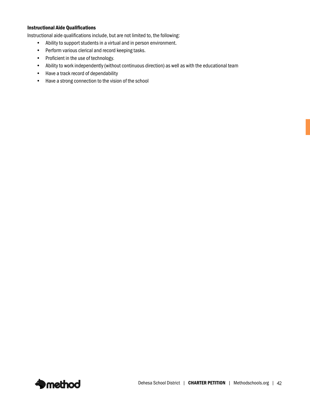#### Instructional Aide Qualifications

Instructional aide qualifications include, but are not limited to, the following:

- Ability to support students in a virtual and in person environment.
- Perform various clerical and record keeping tasks.
- Proficient in the use of technology.
- Ability to work independently (without continuous direction) as well as with the educational team
- Have a track record of dependability
- Have a strong connection to the vision of the school

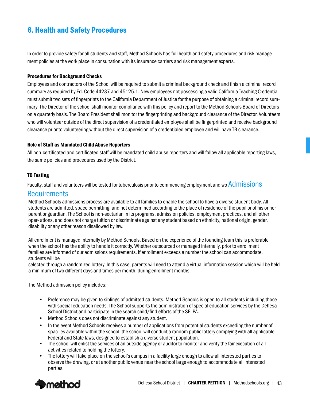# 6. Health and Safety Procedures

In order to provide safety for all students and staff, Method Schools has full health and safety procedures and risk management policies at the work place in consultation with its insurance carriers and risk management experts.

#### Procedures for Background Checks

Employees and contractors of the School will be required to submit a criminal background check and finish a criminal record summary as required by Ed. Code 44237 and 45125.1. New employees not possessing a valid California Teaching Credential must submit two sets of fingerprints to the California Department of Justice for the purpose of obtaining a criminal record summary. The Director of the school shall monitor compliance with this policy and report to the Method Schools Board of Directors on a quarterly basis. The Board President shall monitor the fingerprinting and background clearance of the Director. Volunteers who will volunteer outside of the direct supervision of a credentialed employee shall be fingerprinted and receive background clearance prior to volunteering without the direct supervision of a credentialed employee and will have TB clearance.

#### Role of Staff as Mandated Child Abuse Reporters

All non-certificated and certificated staff will be mandated child abuse reporters and will follow all applicable reporting laws, the same policies and procedures used by the District.

#### TB Testing

Faculty, staff and volunteers will be tested for tuberculosis prior to commencing employment and wo Admissions

## Requirements

Method Schools admissions process are available to all families to enable the school to have a diverse student body. All students are admitted, space permitting, and not determined according to the place of residence of the pupil or of his or her parent or guardian. The School is non-sectarian in its programs, admission policies, employment practices, and all other oper- ations, and does not charge tuition or discriminate against any student based on ethnicity, national origin, gender, disability or any other reason disallowed by law.

All enrollment is managed internally by Method Schools. Based on the experience of the founding team this is preferable when the school has the ability to handle it correctly. Whether outsourced or managed internally, prior to enrollment families are informed of our admissions requirements. If enrollment exceeds a number the school can accommodate, students will be

selected through a randomized lottery. In this case, parents will need to attend a virtual information session which will be held a minimum of two different days and times per month, during enrollment months.

The Method admission policy includes:

- Preference may be given to siblings of admitted students. Method Schools is open to all students including those with special education needs. The School supports the administration of special education services by the Dehesa School District and participate in the search child/find efforts of the SELPA.
- Method Schools does not discriminate against any student.
- In the event Method Schools receives a number of applications from potential students exceeding the number of spac- es available within the school, the school will conduct a random public lottery complying with all applicable Federal and State laws, designed to establish a diverse student population.
- The school will enlist the services of an outside agency or auditor to monitor and verify the fair execution of all activities related to holding the lottery.
- The lottery will take place on the school's campus in a facility large enough to allow all interested parties to observe the drawing, or at another public venue near the school large enough to accommodate all interested parties.

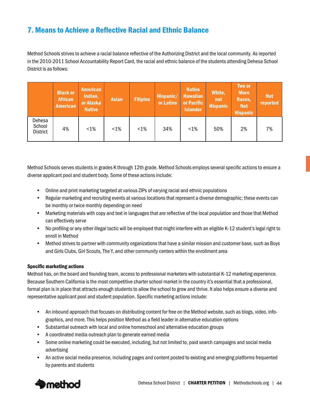# 7. Means to Achieve a Reflective Racial and Ethnic Balance

Method Schools strives to achieve a racial balance reflective of the Authorizing District and the local community. As reported in the 2010-2011 School Accountability Report Card, the racial and ethnic balance of the students attending Dehesa School District is as follows:

|                                     | <b>Black or</b><br><b>African</b><br><b>American</b> | <b>American</b><br>Indian,<br>or Alaska<br><b>Native</b> | <b>Asian</b> | <b>Filipino</b> | Hispanic/<br>or Latino | <b>Native</b><br><b>Hawaiian</b><br>or Pacific<br><b>Islander</b> | White,<br>not<br><b>Hispanic</b> | <b>Two or</b><br><b>More</b><br>Races,<br><b>Not</b><br><b>Hispanic</b> | <b>Not</b><br>reported |
|-------------------------------------|------------------------------------------------------|----------------------------------------------------------|--------------|-----------------|------------------------|-------------------------------------------------------------------|----------------------------------|-------------------------------------------------------------------------|------------------------|
| Dehesa<br>School<br><b>District</b> | 4%                                                   | $< 1\%$                                                  | $< 1\%$      | $< 1\%$         | 34%                    | $< 1\%$                                                           | 50%                              | 2%                                                                      | 7%                     |

Method Schools serves students in grades K through 12th grade. Method Schools employs several specific actions to ensure a diverse applicant pool and student body. Some of these actions include:

- Online and print marketing targeted at various ZIPs of varying racial and ethnic populations
- Regular marketing and recruiting events at various locations that represent a diverse demographic; these events can be monthly or twice monthly depending on need
- Marketing materials with copy and text in languages that are reflective of the local population and those that Method can effectively serve
- No profiling or any other illegal tactic will be employed that might interfere with an eligible K-12 student's legal right to enroll in Method
- Method strives to partner with community organizations that have a similar mission and customer base, such as Boys and Girls Clubs, Girl Scouts, The Y, and other community centers within the enrollment area

#### Specific marketing actions

Method has, on the board and founding team, access to professional marketers with substantial K-12 marketing experience. Because Southern California is the most competitive charter school market in the country it's essential that a professional, formal plan is in place that attracts enough students to allow the school to grow and thrive. It also helps ensure a diverse and representative applicant pool and student population. Specific marketing actions include:

- An inbound approach that focuses on distributing content for free on the Method website, such as blogs, video, infographics, and more. This helps position Method as a field leader in alternative education options
- Substantial outreach with local and online homeschool and alternative education groups
- A coordinated media outreach plan to generate earned media
- Some online marketing could be executed, including, but not limited to, paid search campaigns and social media advertising
- An active social media presence, including pages and content posted to existing and emerging platforms frequented by parents and students

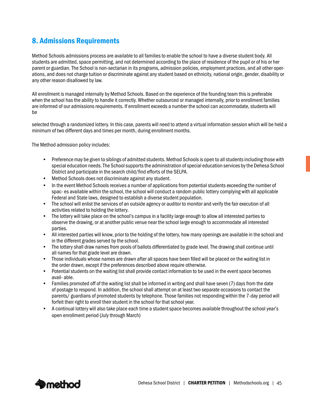# 8. Admissions Requirements

Method Schools admissions process are available to all families to enable the school to have a diverse student body. All students are admitted, space permitting, and not determined according to the place of residence of the pupil or of his or her parent or guardian. The School is non-sectarian in its programs, admission policies, employment practices, and all other operations, and does not charge tuition or discriminate against any student based on ethnicity, national origin, gender, disability or any other reason disallowed by law.

All enrollment is managed internally by Method Schools. Based on the experience of the founding team this is preferable when the school has the ability to handle it correctly. Whether outsourced or managed internally, prior to enrollment families are informed of our admissions requirements. If enrollment exceeds a number the school can accommodate, students will be

selected through a randomized lottery. In this case, parents will need to attend a virtual information session which will be held a minimum of two different days and times per month, during enrollment months.

The Method admission policy includes:

- Preference may be given to siblings of admitted students. Method Schools is open to all students including those with special education needs. The School supports the administration of special education services by the Dehesa School District and participate in the search child/find efforts of the SELPA.
- Method Schools does not discriminate against any student.
- In the event Method Schools receives a number of applications from potential students exceeding the number of spac- es available within the school, the school will conduct a random public lottery complying with all applicable Federal and State laws, designed to establish a diverse student population.
- The school will enlist the services of an outside agency or auditor to monitor and verify the fair execution of all activities related to holding the lottery.
- The lottery will take place on the school's campus in a facility large enough to allow all interested parties to observe the drawing, or at another public venue near the school large enough to accommodate all interested parties.
- All interested parties will know, prior to the holding of the lottery, how many openings are available in the school and in the different grades served by the school.
- The lottery shall draw names from pools of ballots differentiated by grade level. The drawing shall continue until all names for that grade level are drawn.
- Those individuals whose names are drawn after all spaces have been filled will be placed on the waiting list in the order drawn, except if the preferences described above require otherwise.
- Potential students on the waiting list shall provide contact information to be used in the event space becomes avail- able.
- Families promoted off of the waiting list shall be informed in writing and shall have seven (7) days from the date of postage to respond. In addition, the school shall attempt on at least two separate occasions to contact the parents/ guardians of promoted students by telephone. Those families not responding within the 7-day period will forfeit their right to enroll their student in the school for that school year.
- A continual lottery will also take place each time a student space becomes available throughout the school year's open enrollment period (July through March)

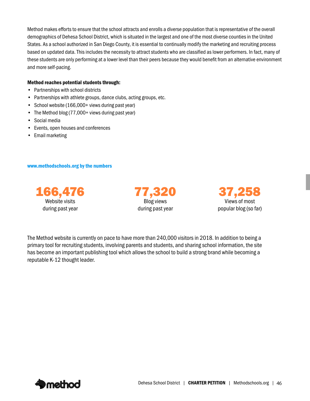Method makes efforts to ensure that the school attracts and enrolls a diverse population that is representative of the overall demographics of Dehesa School District, which is situated in the largest and one of the most diverse counties in the United States. As a school authorized in San Diego County, it is essential to continually modify the marketing and recruiting process based on updated data. This includes the necessity to attract students who are classified as lower performers. In fact, many of these students are only performing at a lower level than their peers because they would benefit from an alternative environment and more self-pacing.

#### Method reaches potential students through:

- Partnerships with school districts
- Partnerships with athlete groups, dance clubs, acting groups, etc.
- School website (166,000+ views during past year)
- The Method blog (77,000+ views during past year)
- Social media
- Events, open houses and conferences
- Email marketing

#### www.methodschools.org by the numbers



77,320 Blog views during past year



The Method website is currently on pace to have more than 240,000 visitors in 2018. In addition to being a primary tool for recruiting students, involving parents and students, and sharing school information, the site has become an important publishing tool which allows the school to build a strong brand while becoming a reputable K-12 thought leader.

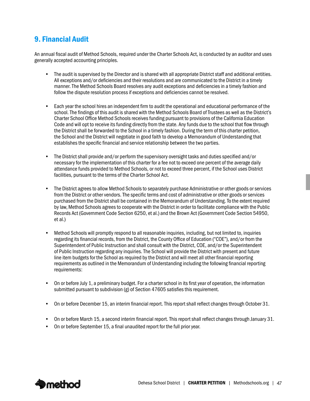# 9. Financial Audit

An annual fiscal audit of Method Schools, required under the Charter Schools Act, is conducted by an auditor and uses generally accepted accounting principles.

- The audit is supervised by the Director and is shared with all appropriate District staff and additional entities. All exceptions and/or deficiencies and their resolutions and are communicated to the District in a timely manner. The Method Schools Board resolves any audit exceptions and deficiencies in a timely fashion and follow the dispute resolution process if exceptions and deficiencies cannot be resolved.
- Each year the school hires an independent firm to audit the operational and educational performance of the school. The findings of this audit is shared with the Method Schools Board of Trustees as well as the District's Charter School Office Method Schools receives funding pursuant to provisions of the California Education Code and will opt to receive its funding directly from the state. Any funds due to the school that flow through the District shall be forwarded to the School in a timely fashion. During the term of this charter petition, the School and the District will negotiate in good faith to develop a Memorandum of Understanding that establishes the specific financial and service relationship between the two parties.
- The District shall provide and/or perform the supervisory oversight tasks and duties specified and/or necessary for the implementation of this charter for a fee not to exceed one percent of the average daily attendance funds provided to Method Schools, or not to exceed three percent, if the School uses District facilities, pursuant to the terms of the Charter School Act.
- The District agrees to allow Method Schools to separately purchase Administrative or other goods or services from the District or other vendors. The specific terms and cost of administrative or other goods or services purchased from the District shall be contained in the Memorandum of Understanding. To the extent required by law, Method Schools agrees to cooperate with the District in order to facilitate compliance with the Public Records Act (Government Code Section 6250, et al.) and the Brown Act (Government Code Section 54950, et al.)
- Method Schools will promptly respond to all reasonable inquiries, including, but not limited to, inquiries regarding its financial records, from the District, the County Office of Education ("COE"), and/or from the Superintendent of Public Instruction and shall consult with the District, COE, and/or the Superintendent of Public Instruction regarding any inquiries. The School will provide the District with present and future line item budgets for the School as required by the District and will meet all other financial reporting requirements as outlined in the Memorandum of Understanding including the following financial reporting requirements:
- On or before July 1, a preliminary budget. For a charter school in its first year of operation, the information submitted pursuant to subdivision (g) of Section 47605 satisfies this requirement.
- On or before December 15, an interim financial report. This report shall reflect changes through October 31.
- On or before March 15, a second interim financial report. This report shall reflect changes through January 31.
- On or before September 15, a final unaudited report for the full prior year.

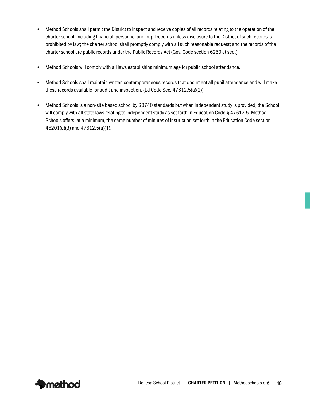- Method Schools shall permit the District to inspect and receive copies of all records relating to the operation of the charter school, including financial, personnel and pupil records unless disclosure to the District of such records is prohibited by law; the charter school shall promptly comply with all such reasonable request; and the records of the charter school are public records under the Public Records Act (Gov. Code section 6250 et seq.)
- Method Schools will comply with all laws establishing minimum age for public school attendance.
- Method Schools shall maintain written contemporaneous records that document all pupil attendance and will make these records available for audit and inspection. (Ed Code Sec. 47612.5(a)(2))
- Method Schools is a non-site based school by SB740 standards but when independent study is provided, the School will comply with all state laws relating to independent study as set forth in Education Code § 47612.5. Method Schools offers, at a minimum, the same number of minutes of instruction set forth in the Education Code section 46201(a)(3) and 47612.5(a)(1).

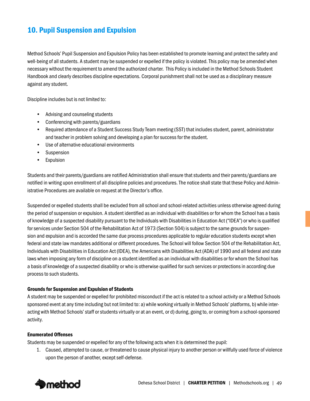# 10. Pupil Suspension and Expulsion

Method Schools' Pupil Suspension and Expulsion Policy has been established to promote learning and protect the safety and well-being of all students. A student may be suspended or expelled if the policy is violated. This policy may be amended when necessary without the requirement to amend the authorized charter. This Policy is included in the Method Schools Student Handbook and clearly describes discipline expectations. Corporal punishment shall not be used as a disciplinary measure against any student.

Discipline includes but is not limited to:

- Advising and counseling students
- Conferencing with parents/guardians
- Required attendance of a Student Success Study Team meeting (SST) that includes student, parent, administrator and teacher in problem solving and developing a plan for success for the student.
- Use of alternative educational environments
- Suspension
- Expulsion

Students and their parents/guardians are notified Administration shall ensure that students and their parents/guardians are notified in writing upon enrollment of all discipline policies and procedures. The notice shall state that these Policy and Administrative Procedures are available on request at the Director's office.

Suspended or expelled students shall be excluded from all school and school-related activities unless otherwise agreed during the period of suspension or expulsion. A student identified as an individual with disabilities or for whom the School has a basis of knowledge of a suspected disability pursuant to the Individuals with Disabilities in Education Act ("IDEA") or who is qualified for services under Section 504 of the Rehabilitation Act of 1973 (Section 504) is subject to the same grounds for suspension and expulsion and is accorded the same due process procedures applicable to regular education students except when federal and state law mandates additional or different procedures. The School will follow Section 504 of the Rehabilitation Act, Individuals with Disabilities in Education Act (IDEA), the Americans with Disabilities Act (ADA) of 1990 and all federal and state laws when imposing any form of discipline on a student identified as an individual with disabilities or for whom the School has a basis of knowledge of a suspected disability or who is otherwise qualified for such services or protections in according due process to such students.

#### Grounds for Suspension and Expulsion of Students

A student may be suspended or expelled for prohibited misconduct if the act is related to a school activity or a Method Schools sponsored event at any time including but not limited to: a) while working virtually in Method Schools' platforms, b) while interacting with Method Schools' staff or students virtually or at an event, or d) during, going to, or coming from a school-sponsored activity.

#### Enumerated Offenses

Students may be suspended or expelled for any of the following acts when it is determined the pupil:

1. Caused, attempted to cause, or threatened to cause physical injury to another person or willfully used force of violence upon the person of another, except self-defense.

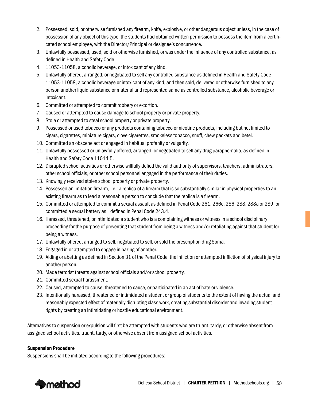- 2. Possessed, sold, or otherwise furnished any firearm, knife, explosive, or other dangerous object unless, in the case of possession of any object of this type, the students had obtained written permission to possess the item from a certificated school employee, with the Director/Principal or designee's concurrence.
- 3. Unlawfully possessed, used, sold or otherwise furnished, or was under the influence of any controlled substance, as defined in Health and Safety Code
- 4. 11053-11058, alcoholic beverage, or intoxicant of any kind.
- 5. Unlawfully offered, arranged, or negotiated to sell any controlled substance as defined in Health and Safety Code 11053-11058, alcoholic beverage or intoxicant of any kind, and then sold, delivered or otherwise furnished to any person another liquid substance or material and represented same as controlled substance, alcoholic beverage or intoxicant.
- 6. Committed or attempted to commit robbery or extortion.
- 7. Caused or attempted to cause damage to school property or private property.
- 8. Stole or attempted to steal school property or private property.
- 9. Possessed or used tobacco or any products containing tobacco or nicotine products, including but not limited to cigars, cigarettes, miniature cigars, clove cigarettes, smokeless tobacco, snuff, chew packets and betel.
- 10. Committed an obscene act or engaged in habitual profanity or vulgarity.
- 11. Unlawfully possessed or unlawfully offered, arranged, or negotiated to sell any drug paraphernalia, as defined in Health and Safety Code 11014.5.
- 12. Disrupted school activities or otherwise willfully defied the valid authority of supervisors, teachers, administrators, other school officials, or other school personnel engaged in the performance of their duties.
- 13. Knowingly received stolen school property or private property.
- 14. Possessed an imitation firearm, i.e.: a replica of a firearm that is so substantially similar in physical properties to an existing firearm as to lead a reasonable person to conclude that the replica is a firearm.
- 15. Committed or attempted to commit a sexual assault as defined in Penal Code 261, 266c, 286, 288, 288a or 289, or committed a sexual battery as defined in Penal Code 243.4.
- 16. Harassed, threatened, or intimidated a student who is a complaining witness or witness in a school disciplinary proceeding for the purpose of preventing that student from being a witness and/or retaliating against that student for being a witness.
- 17. Unlawfully offered, arranged to sell, negotiated to sell, or sold the prescription drug Soma.
- 18. Engaged in or attempted to engage in hazing of another.
- 19. Aiding or abetting as defined in Section 31 of the Penal Code, the infliction or attempted infliction of physical injury to another person.
- 20. Made terrorist threats against school officials and/or school property.
- 21. Committed sexual harassment.
- 22. Caused, attempted to cause, threatened to cause, or participated in an act of hate or violence.
- 23. Intentionally harassed, threatened or intimidated a student or group of students to the extent of having the actual and reasonably expected effect of materially disrupting class work, creating substantial disorder and invading student rights by creating an intimidating or hostile educational environment.

Alternatives to suspension or expulsion will first be attempted with students who are truant, tardy, or otherwise absent from assigned school activities. truant, tardy, or otherwise absent from assigned school activities.

#### Suspension Procedure

Suspensions shall be initiated according to the following procedures:

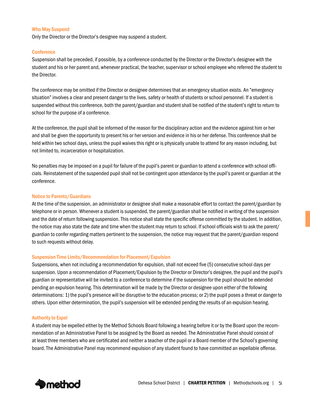#### Who May Suspend

Only the Director or the Director's designee may suspend a student.

#### **Conference**

Suspension shall be preceded, if possible, by a conference conducted by the Director or the Director's designee with the student and his or her parent and, whenever practical, the teacher, supervisor or school employee who referred the student to the Director.

The conference may be omitted if the Director or designee determines that an emergency situation exists. An "emergency situation" involves a clear and present danger to the lives, safety or health of students or school personnel. If a student is suspended without this conference, both the parent/guardian and student shall be notified of the student's right to return to school for the purpose of a conference.

At the conference, the pupil shall be informed of the reason for the disciplinary action and the evidence against him or her and shall be given the opportunity to present his or her version and evidence in his or her defense. This conference shall be held within two school days, unless the pupil waives this right or is physically unable to attend for any reason including, but not limited to, incarceration or hospitalization.

No penalties may be imposed on a pupil for failure of the pupil's parent or guardian to attend a conference with school officials. Reinstatement of the suspended pupil shall not be contingent upon attendance by the pupil's parent or guardian at the conference.

#### Notice to Parents/Guardians

At the time of the suspension, an administrator or designee shall make a reasonable effort to contact the parent/guardian by telephone or in person. Whenever a student is suspended, the parent/guardian shall be notified in writing of the suspension and the date of return following suspension. This notice shall state the specific offense committed by the student. In addition, the notice may also state the date and time when the student may return to school. If school officials wish to ask the parent/ guardian to confer regarding matters pertinent to the suspension, the notice may request that the parent/guardian respond to such requests without delay.

#### Suspension Time Limits/Recommendation for Placement/Expulsion

Suspensions, when not including a recommendation for expulsion, shall not exceed five (5) consecutive school days per suspension. Upon a recommendation of Placement/Expulsion by the Director or Director's designee, the pupil and the pupil's guardian or representative will be invited to a conference to determine if the suspension for the pupil should be extended pending an expulsion hearing. This determination will be made by the Director or designee upon either of the following determinations: 1) the pupil's presence will be disruptive to the education process; or 2) the pupil poses a threat or danger to others. Upon either determination, the pupil's suspension will be extended pending the results of an expulsion hearing.

#### Authority to Expel

A student may be expelled either by the Method Schools Board following a hearing before it or by the Board upon the recommendation of an Administrative Panel to be assigned by the Board as needed. The Administrative Panel should consist of at least three members who are certificated and neither a teacher of the pupil or a Board member of the School's governing board. The Administrative Panel may recommend expulsion of any student found to have committed an expellable offense.

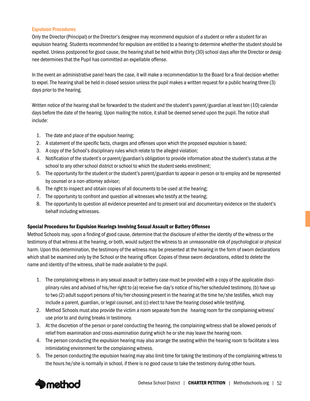#### Expulsion Procedures

Only the Director (Principal) or the Director's designee may recommend expulsion of a student or refer a student for an expulsion hearing. Students recommended for expulsion are entitled to a hearing to determine whether the student should be expelled. Unless postponed for good cause, the hearing shall be held within thirty (30) school days after the Director or designee determines that the Pupil has committed an expellable offense.

In the event an administrative panel hears the case, it will make a recommendation to the Board for a final decision whether to expel. The hearing shall be held in closed session unless the pupil makes a written request for a public hearing three (3) days prior to the hearing.

Written notice of the hearing shall be forwarded to the student and the student's parent/guardian at least ten (10) calendar days before the date of the hearing. Upon mailing the notice, it shall be deemed served upon the pupil. The notice shall include:

- 1. The date and place of the expulsion hearing;
- 2. A statement of the specific facts, charges and offenses upon which the proposed expulsion is based;
- 3. A copy of the School's disciplinary rules which relate to the alleged violation;
- 4. Notification of the student's or parent/guardian's obligation to provide information about the student's status at the school to any other school district or school to which the student seeks enrollment;
- 5. The opportunity for the student or the student's parent/guardian to appear in person or to employ and be represented by counsel or a non-attorney advisor;
- 6. The right to inspect and obtain copies of all documents to be used at the hearing;
- 7. The opportunity to confront and question all witnesses who testify at the hearing;
- 8. The opportunity to question all evidence presented and to present oral and documentary evidence on the student's behalf including witnesses.

#### Special Procedures for Expulsion Hearings Involving Sexual Assault or Battery Offenses

Method Schools may, upon a finding of good cause, determine that the disclosure of either the identity of the witness or the testimony of that witness at the hearing, or both, would subject the witness to an unreasonable risk of psychological or physical harm. Upon this determination, the testimony of the witness may be presented at the hearing in the form of sworn declarations which shall be examined only by the School or the hearing officer. Copies of these sworn declarations, edited to delete the name and identity of the witness, shall be made available to the pupil.

- 1. The complaining witness in any sexual assault or battery case must be provided with a copy of the applicable disciplinary rules and advised of his/her right to (a) receive five-day's notice of his/her scheduled testimony, (b) have up to two (2) adult support persons of his/her choosing present in the hearing at the time he/she testifies, which may include a parent, guardian, or legal counsel, and (c) elect to have the hearing closed while testifying.
- 2. Method Schools must also provide the victim a room separate from the hearing room for the complaining witness' use prior to and during breaks in testimony.
- 3. At the discretion of the person or panel conducting the hearing, the complaining witness shall be allowed periods of relief from examination and cross-examination during which he or she may leave the hearing room.
- 4. The person conducting the expulsion hearing may also arrange the seating within the hearing room to facilitate a less intimidating environment for the complaining witness.
- 5. The person conducting the expulsion hearing may also limit time for taking the testimony of the complaining witness to the hours he/she is normally in school, if there is no good cause to take the testimony during other hours.

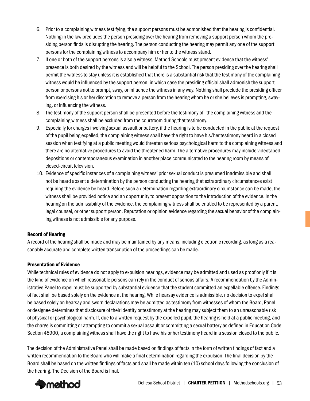- 6. Prior to a complaining witness testifying, the support persons must be admonished that the hearing is confidential. Nothing in the law precludes the person presiding over the hearing from removing a support person whom the presiding person finds is disrupting the hearing. The person conducting the hearing may permit any one of the support persons for the complaining witness to accompany him or her to the witness stand.
- 7. If one or both of the support persons is also a witness, Method Schools must present evidence that the witness' presence is both desired by the witness and will be helpful to the School. The person presiding over the hearing shall permit the witness to stay unless it is established that there is a substantial risk that the testimony of the complaining witness would be influenced by the support person, in which case the presiding official shall admonish the support person or persons not to prompt, sway, or influence the witness in any way. Nothing shall preclude the presiding officer from exercising his or her discretion to remove a person from the hearing whom he or she believes is prompting, swaying, or influencing the witness.
- 8. The testimony of the support person shall be presented before the testimony of the complaining witness and the complaining witness shall be excluded from the courtroom during that testimony.
- 9. Especially for charges involving sexual assault or battery, if the hearing is to be conducted in the public at the request of the pupil being expelled, the complaining witness shall have the right to have his/her testimony heard in a closed session when testifying at a public meeting would threaten serious psychological harm to the complaining witness and there are no alternative procedures to avoid the threatened harm. The alternative procedures may include videotaped depositions or contemporaneous examination in another place communicated to the hearing room by means of closed-circuit television.
- 10. Evidence of specific instances of a complaining witness' prior sexual conduct is presumed inadmissible and shall not be heard absent a determination by the person conducting the hearing that extraordinary circumstances exist requiring the evidence be heard. Before such a determination regarding extraordinary circumstance can be made, the witness shall be provided notice and an opportunity to present opposition to the introduction of the evidence. In the hearing on the admissibility of the evidence, the complaining witness shall be entitled to be represented by a parent, legal counsel, or other support person. Reputation or opinion evidence regarding the sexual behavior of the complaining witness is not admissible for any purpose.

#### Record of Hearing

A record of the hearing shall be made and may be maintained by any means, including electronic recording, as long as a reasonably accurate and complete written transcription of the proceedings can be made.

#### Presentation of Evidence

While technical rules of evidence do not apply to expulsion hearings, evidence may be admitted and used as proof only if it is the kind of evidence on which reasonable persons can rely in the conduct of serious affairs. A recommendation by the Administrative Panel to expel must be supported by substantial evidence that the student committed an expellable offense. Findings of fact shall be based solely on the evidence at the hearing. While hearsay evidence is admissible, no decision to expel shall be based solely on hearsay and sworn declarations may be admitted as testimony from witnesses of whom the Board, Panel or designee determines that disclosure of their identity or testimony at the hearing may subject them to an unreasonable risk of physical or psychological harm. If, due to a written request by the expelled pupil, the hearing is held at a public meeting, and the charge is committing or attempting to commit a sexual assault or committing a sexual battery as defined in Education Code Section 48900, a complaining witness shall have the right to have his or her testimony heard in a session closed to the public.

The decision of the Administrative Panel shall be made based on findings of facts in the form of written findings of fact and a written recommendation to the Board who will make a final determination regarding the expulsion. The final decision by the Board shall be based on the written findings of facts and shall be made within ten (10) school days following the conclusion of the hearing. The Decision of the Board is final.

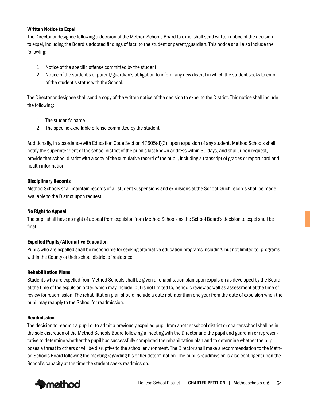#### Written Notice to Expel

The Director or designee following a decision of the Method Schools Board to expel shall send written notice of the decision to expel, including the Board's adopted findings of fact, to the student or parent/guardian. This notice shall also include the following:

- 1. Notice of the specific offense committed by the student
- 2. Notice of the student's or parent/guardian's obligation to inform any new district in which the student seeks to enroll of the student's status with the School.

The Director or designee shall send a copy of the written notice of the decision to expel to the District. This notice shall include the following:

- 1. The student's name
- 2. The specific expellable offense committed by the student

Additionally, in accordance with Education Code Section 47605(d)(3), upon expulsion of any student, Method Schools shall notify the superintendent of the school district of the pupil's last known address within 30 days, and shall, upon request, provide that school district with a copy of the cumulative record of the pupil, including a transcript of grades or report card and health information.

#### Disciplinary Records

Method Schools shall maintain records of all student suspensions and expulsions at the School. Such records shall be made available to the District upon request.

#### No Right to Appeal

The pupil shall have no right of appeal from expulsion from Method Schools as the School Board's decision to expel shall be final.

#### Expelled Pupils/Alternative Education

Pupils who are expelled shall be responsible for seeking alternative education programs including, but not limited to, programs within the County or their school district of residence.

#### Rehabilitation Plans

Students who are expelled from Method Schools shall be given a rehabilitation plan upon expulsion as developed by the Board at the time of the expulsion order, which may include, but is not limited to, periodic review as well as assessment at the time of review for readmission. The rehabilitation plan should include a date not later than one year from the date of expulsion when the pupil may reapply to the School for readmission.

#### Readmission

The decision to readmit a pupil or to admit a previously expelled pupil from another school district or charter school shall be in the sole discretion of the Method Schools Board following a meeting with the Director and the pupil and guardian or representative to determine whether the pupil has successfully completed the rehabilitation plan and to determine whether the pupil poses a threat to others or will be disruptive to the school environment. The Director shall make a recommendation to the Method Schools Board following the meeting regarding his or her determination. The pupil's readmission is also contingent upon the School's capacity at the time the student seeks readmission.

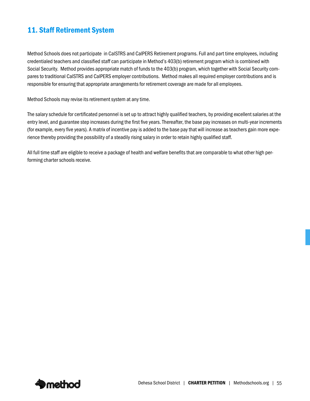# 11. Staff Retirement System

Method Schools does not participate in CalSTRS and CalPERS Retirement programs. Full and part time employees, including credentialed teachers and classified staff can participate in Method's 403(b) retirement program which is combined with Social Security. Method provides appropriate match of funds to the 403(b) program, which together with Social Security compares to traditional CalSTRS and CalPERS employer contributions. Method makes all required employer contributions and is responsible for ensuring that appropriate arrangements for retirement coverage are made for all employees.

Method Schools may revise its retirement system at any time.

The salary schedule for certificated personnel is set up to attract highly qualified teachers, by providing excellent salaries at the entry level, and guarantee step increases during the first five years. Thereafter, the base pay increases on multi-year increments (for example, every five years). A matrix of incentive pay is added to the base pay that will increase as teachers gain more experience thereby providing the possibility of a steadily rising salary in order to retain highly qualified staff.

All full time staff are eligible to receive a package of health and welfare benefits that are comparable to what other high performing charter schools receive.

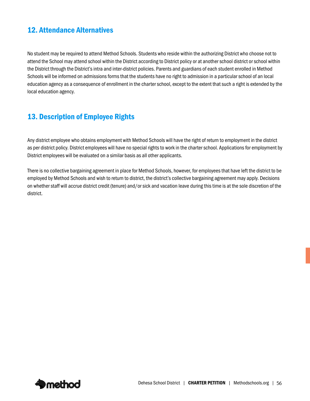# 12. Attendance Alternatives

No student may be required to attend Method Schools. Students who reside within the authorizing District who choose not to attend the School may attend school within the District according to District policy or at another school district or school within the District through the District's intra and inter-district policies. Parents and guardians of each student enrolled in Method Schools will be informed on admissions forms that the students have no right to admission in a particular school of an local education agency as a consequence of enrollment in the charter school, except to the extent that such a right is extended by the local education agency.

# 13. Description of Employee Rights

Any district employee who obtains employment with Method Schools will have the right of return to employment in the district as per district policy. District employees will have no special rights to work in the charter school. Applications for employment by District employees will be evaluated on a similar basis as all other applicants.

There is no collective bargaining agreement in place for Method Schools, however, for employees that have left the district to be employed by Method Schools and wish to return to district, the district's collective bargaining agreement may apply. Decisions on whether staff will accrue district credit (tenure) and/or sick and vacation leave during this time is at the sole discretion of the district.

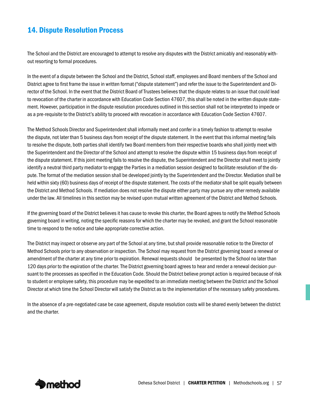# 14. Dispute Resolution Process

The School and the District are encouraged to attempt to resolve any disputes with the District amicably and reasonably without resorting to formal procedures.

In the event of a dispute between the School and the District, School staff, employees and Board members of the School and District agree to first frame the issue in written format ("dispute statement") and refer the issue to the Superintendent and Director of the School. In the event that the District Board of Trustees believes that the dispute relates to an issue that could lead to revocation of the charter in accordance with Education Code Section 47607, this shall be noted in the written dispute statement. However, participation in the dispute resolution procedures outlined in this section shall not be interpreted to impede or as a pre-requisite to the District's ability to proceed with revocation in accordance with Education Code Section 47607.

The Method Schools Director and Superintendent shall informally meet and confer in a timely fashion to attempt to resolve the dispute, not later than 5 business days from receipt of the dispute statement. In the event that this informal meeting fails to resolve the dispute, both parties shall identify two Board members from their respective boards who shall jointly meet with the Superintendent and the Director of the School and attempt to resolve the dispute within 15 business days from receipt of the dispute statement. If this joint meeting fails to resolve the dispute, the Superintendent and the Director shall meet to jointly identify a neutral third party mediator to engage the Parties in a mediation session designed to facilitate resolution of the dispute. The format of the mediation session shall be developed jointly by the Superintendent and the Director. Mediation shall be held within sixty (60) business days of receipt of the dispute statement. The costs of the mediator shall be split equally between the District and Method Schools. If mediation does not resolve the dispute either party may pursue any other remedy available under the law. All timelines in this section may be revised upon mutual written agreement of the District and Method Schools.

If the governing board of the District believes it has cause to revoke this charter, the Board agrees to notify the Method Schools governing board in writing, noting the specific reasons for which the charter may be revoked, and grant the School reasonable time to respond to the notice and take appropriate corrective action.

The District may inspect or observe any part of the School at any time, but shall provide reasonable notice to the Director of Method Schools prior to any observation or inspection. The School may request from the District governing board a renewal or amendment of the charter at any time prior to expiration. Renewal requests should be presented by the School no later than 120 days prior to the expiration of the charter. The District governing board agrees to hear and render a renewal decision pursuant to the processes as specified in the Education Code. Should the District believe prompt action is required because of risk to student or employee safety, this procedure may be expedited to an immediate meeting between the District and the School Director at which time the School Director will satisfy the District as to the implementation of the necessary safety procedures.

In the absence of a pre-negotiated case be case agreement, dispute resolution costs will be shared evenly between the district and the charter.

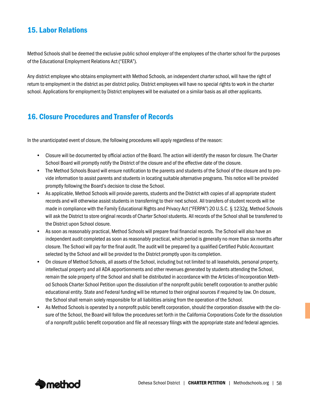# 15. Labor Relations

Method Schools shall be deemed the exclusive public school employer of the employees of the charter school for the purposes of the Educational Employment Relations Act ("EERA").

Any district employee who obtains employment with Method Schools, an independent charter school, will have the right of return to employment in the district as per district policy. District employees will have no special rights to work in the charter school. Applications for employment by District employees will be evaluated on a similar basis as all other applicants.

# 16. Closure Procedures and Transfer of Records

In the unanticipated event of closure, the following procedures will apply regardless of the reason:

- Closure will be documented by official action of the Board. The action will identify the reason for closure. The Charter School Board will promptly notify the District of the closure and of the effective date of the closure.
- The Method Schools Board will ensure notification to the parents and students of the School of the closure and to provide information to assist parents and students in locating suitable alternative programs. This notice will be provided promptly following the Board's decision to close the School.
- As applicable, Method Schools will provide parents, students and the District with copies of all appropriate student records and will otherwise assist students in transferring to their next school. All transfers of student records will be made in compliance with the Family Educational Rights and Privacy Act ("FERPA") 20 U.S.C. § 1232g. Method Schools will ask the District to store original records of Charter School students. All records of the School shall be transferred to the District upon School closure.
- As soon as reasonably practical, Method Schools will prepare final financial records. The School will also have an independent audit completed as soon as reasonably practical, which period is generally no more than six months after closure. The School will pay for the final audit. The audit will be prepared by a qualified Certified Public Accountant selected by the School and will be provided to the District promptly upon its completion.
- On closure of Method Schools, all assets of the School, including but not limited to all leaseholds, personal property, intellectual property and all ADA apportionments and other revenues generated by students attending the School, remain the sole property of the School and shall be distributed in accordance with the Articles of Incorporation Method Schools Charter School Petition upon the dissolution of the nonprofit public benefit corporation to another public educational entity. State and Federal funding will be returned to their original sources if required by law. On closure, the School shall remain solely responsible for all liabilities arising from the operation of the School.
- As Method Schools is operated by a nonprofit public benefit corporation, should the corporation dissolve with the closure of the School, the Board will follow the procedures set forth in the California Corporations Code for the dissolution of a nonprofit public benefit corporation and file all necessary filings with the appropriate state and federal agencies.

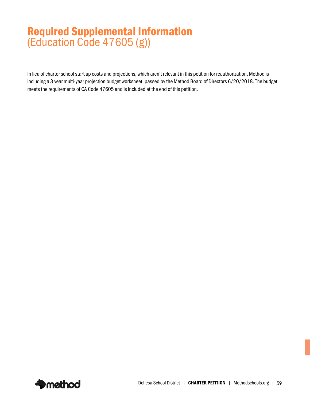# Required Supplemental Information (Education Code 47605 (g))

In lieu of charter school start up costs and projections, which aren't relevant in this petition for reauthorization, Method is including a 3 year multi-year projection budget worksheet, passed by the Method Board of Directors 6/20/2018. The budget meets the requirements of CA Code 47605 and is included at the end of this petition.

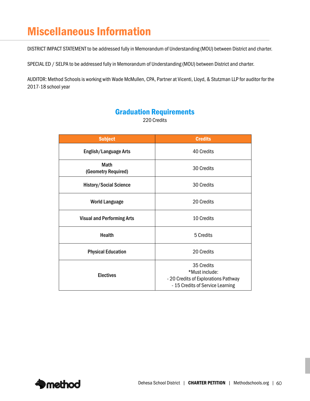# Miscellaneous Information

DISTRICT IMPACT STATEMENT to be addressed fully in Memorandum of Understanding (MOU) between District and charter.

SPECIAL ED / SELPA to be addressed fully in Memorandum of Understanding (MOU) between District and charter.

AUDITOR: Method Schools is working with Wade McMullen, CPA, Partner at Vicenti, Lloyd, & Stutzman LLP for auditor for the 2017-18 school year

# Graduation Requirements

220 Credits

| <b>Subject</b>                     | <b>Credits</b>                                                                                           |  |  |  |
|------------------------------------|----------------------------------------------------------------------------------------------------------|--|--|--|
| English/Language Arts              | 40 Credits                                                                                               |  |  |  |
| <b>Math</b><br>(Geometry Required) | 30 Credits                                                                                               |  |  |  |
| <b>History/Social Science</b>      | 30 Credits                                                                                               |  |  |  |
| <b>World Language</b>              | 20 Credits                                                                                               |  |  |  |
| <b>Visual and Performing Arts</b>  | 10 Credits                                                                                               |  |  |  |
| <b>Health</b>                      | 5 Credits                                                                                                |  |  |  |
| <b>Physical Education</b>          | 20 Credits                                                                                               |  |  |  |
| <b>Electives</b>                   | 35 Credits<br>*Must include:<br>- 20 Credits of Explorations Pathway<br>- 15 Credits of Service Learning |  |  |  |

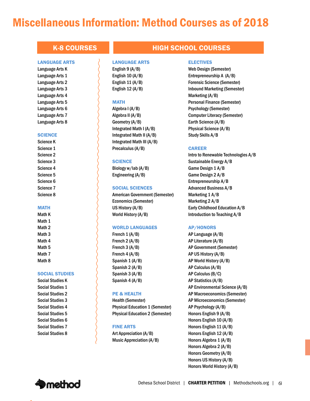# Miscellaneous Information: Method Courses as of 2018

#### LANGUAGE ARTS CONTROLLANGUAGE ARTS ELECTIVES

Language Arts 4 Marketing (A/B)

Math 1

#### SOCIAL STUDIES (Spanish 3 (A/B) AP Calculus (B/C)

# Language Arts K **English 9 (A/B)** Web Design (Semester)

Language Arts 6 **Algebra I (A/B)** Algebra I (A/B) **P**sychology (Semester) Language Arts 8 (A/B) Geometry (A/B) Earth Science (A/B) Integrated Math I (A/B) Physical Science (A/B) SCIENCE (Integrated Math II (A/B) Study Skills A/B Science K **Integrated Math III (A/B)** Science 1 (Contract Contract Precalculus (A/B) CAREER

Science 5 **Engineering (A/B)** Game Design 2 A/B

Science 8 **American Government (Semester)** Marketing 1 A/B Economics (Semester) Marketing 2 A/B MATH US History (A/B) Early Childhood Education A/B

#### Math 2 (WORLD LANGUAGES AP/HONORS

Math 3  $\left\{\right. \left. \right. \left. \right. \left. \right. \left. \right. \left. \right. \left. \right. \left. \right. \left. \right. \left. \right. \left. \right. \left. \left. \right. \right. \left. \left. \right. \right. \left. \left. \right. \right. \left. \left. \right. \left. \right. \left. \left. \right. \right. \left. \left. \right. \left. \right. \left. \right. \left. \right. \left. \right. \left. \left. \right. \right. \left. \left. \right. \right. \left. \left. \right. \right. \left. \left. \right. \left. \right.$ 

Social Studies 4 **Physical Education 1 (Semester)** AP Psychology (A/B) Social Studies 5 **Physical Education 2 (Semester)** Honors English 9 (A/B)

Music Appreciation (A/B) Honors Algebra 1 (A/B)

# K-8 COURSES **NAIL COURSES** HIGH SCHOOL COURSES

Language Arts 1 (Conserved Conserved Arts 1 Conserved Article 2nd Article 2nd Article 2nd Article 2nd Article Language Arts 2 **English 11 (A/B)** Forensic Science (Semester) Language Arts 3 (Supersection 12 (A/B) Inbound Marketing (Semester) Language Arts 5 **MATH** Personal Finance (Semester) Language Arts 7 (and a Magebra II (A/B) Computer Literacy (Semester)

Science 2 **Intro to Renewable Technologies A/B** Intro to Renewable Technologies A/B Science 3 SCIENCE SCIENCE Sustainable Energy A/B Science 4 **Biology w/lab (A/B)** Game Design 1 A/B Science 6 **Entrepreneurship A/B** Entrepreneurship A/B Science 7 (and Social Science Science 7 (and Social Science Science 3 Advanced Business A/B) Math K **Math K** World History (A/B) **Introduction to Teaching A/B** 

Math 4  $\left\{\n\begin{array}{ccc}\n\text{French 2 (A/B)}\n\end{array}\n\right.$ Math 5 **French 3 (A/B)** AP Government (Semester) Math 7 **French 4 (A/B)** AP US History (A/B) Math 8  $\bigcirc$  Spanish 1 (A/B) AP World History (A/B) Spanish 2  $(A/B)$  AP Calculus  $(A/B)$ Social Studies K  $\angle$  Spanish 4 (A/B) AP Statistics (A/B) Social Studies 1 AP Environmental Science (A/B) Social Studies 2 **PE & HEALTH** AP Macroeconomics (Semester) Social Studies 3 Health (Semester) AP Microeconomics (Semester) Social Studies 6 **Social Studies 6 Honors English 10 (A/B)** Social Studies 7 **FINE ARTS** Honors English 11 (A/B) Social Studies 8 **Art Appreciation (A/B)** Honors English 12 (A/B) Honors Algebra 2 (A/B) Honors Geometry (A/B) Honors US History (A/B) Honors World History (A/B)

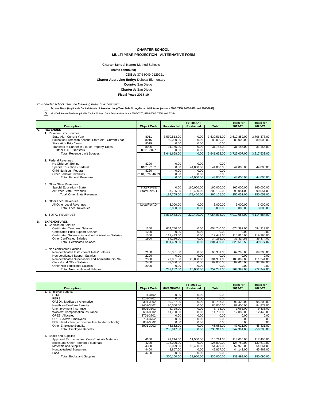*This charter school uses the following basis of accounting:*

 **Accrual Basis (Applicable Capital Assets / Interest on Long-Term Debt / Long-Term Liabilities objects are 6900, 7438, 9400-9499, and 9660-9669)**

**X** Modified Accrual Basis (Applicable Capital Outlay / Debt Service objects are 6100-6170, 6200-6500, 7438, and 7439)

**(name continued) CDS #:** 37-68049-0129221

**Charter Approving Entity:** Dehesa Elementary **County:** San Diego

|                                                        |                    | FY 2018-19          |                   |              | <b>Totals for</b> | <b>Totals for</b> |
|--------------------------------------------------------|--------------------|---------------------|-------------------|--------------|-------------------|-------------------|
| <b>Description</b>                                     | <b>Object Code</b> | <b>Unrestricted</b> | <b>Restricted</b> | <b>Total</b> | 2019-20           | 2020-21           |
| <b>REVENUES</b><br>A.                                  |                    |                     |                   |              |                   |                   |
| 1. Revenue Limit Sources                               |                    |                     |                   |              |                   |                   |
| State Aid - Current Year                               | 8011               | 3,530,513.00        | 0.00              | 3,530,513.00 | 3,610,852.00      | 3,706,378.00      |
| Education Protection Account State Aid - Current Year  | 8015               | 80,000.00           | 0.00              | 80,000.00    | 80,000.00         | 80,000.00         |
| State Aid - Prior Years                                | 8019               | 0.00                | 0.00              | 0.00         |                   |                   |
| Transfers to Charter in Lieu of Property Taxes         | 8096               | 31,155.00           | 0.00              | 31,155.00    | 31,155.00         | 31,155.00         |
| <b>Other LCFF Transfers</b>                            | 8091, 8097         | 0.00                | 0.00              | 0.00         |                   |                   |
| <b>Total, Revenue Limit Sources</b>                    |                    | 3,641,668.00        | 0.00              | 3,641,668.00 | 3,722,007.00      | 3,817,533.00      |
| 2. Federal Revenues                                    |                    |                     |                   |              |                   |                   |
| No Child Left Behind                                   | 8290               | 0.00                | 0.00              | 0.00         |                   |                   |
| Special Education - Federal                            | 8181, 8182         | 0.00                | 44,000.00         | 44,000.00    | 44,000.00         | 44,000.00         |
| <b>Child Nutrition - Federal</b>                       | 8220               | 0.00                | 0.00              | 0.00         |                   |                   |
| <b>Other Federal Revenues</b>                          | 8110, 8260-8299    | 0.00                | 0.00              | 0.00         |                   |                   |
| <b>Total, Federal Revenues</b>                         |                    | 0.00                | 44,000.00         | 44,000.00    | 44,000.00         | 44,000.00         |
|                                                        |                    |                     |                   |              |                   |                   |
| 3. Other State Revenues                                |                    |                     |                   |              |                   |                   |
| <b>Special Education - State</b>                       | <b>StateRevSE</b>  | 0.00                | 160,000.00        | 160,000.00   | 160,000.00        | 160,000.00        |
| All Other State Revenues                               | <b>StateRevAO</b>  | 187,765.00          | 18,400.00         | 206,165.00   | 90,051.00         | 90,051.00         |
| <b>Total, Other State Revenues</b>                     |                    | 187,765.00          | 178,400.00        | 366,165.00   | 250,051.00        | 250,051.00        |
|                                                        |                    |                     |                   |              |                   |                   |
| 4. Other Local Revenues                                |                    |                     |                   |              |                   |                   |
| All Other Local Revenues                               | LocalRevAO         | 3,000.00            | 0.00              | 3,000.00     | 3,000.00          | 3,000.00          |
| <b>Total, Local Revenues</b>                           |                    | 3,000.00            | 0.00              | 3,000.00     | 3,000.00          | 3,000.00          |
|                                                        |                    |                     |                   |              |                   |                   |
| <b>5. TOTAL REVENUES</b>                               |                    | 3,832,433.00        | 222,400.00        | 4,054,833.00 | 4,019,058.00      | 4,114,584.00      |
|                                                        |                    |                     |                   |              |                   |                   |
| IB.<br><b>EXPENDITURES</b>                             |                    |                     |                   |              |                   |                   |
| 1. Certificated Salaries                               |                    |                     |                   |              |                   |                   |
| <b>Certificated Teachers' Salaries</b>                 | 1100               | 654,740.00          | 0.00              | 654,740.00   | 674,382.00        | 694,213.00        |
| <b>Certificated Pupil Support Salaries</b>             | 1200               | 0.00                | 0.00              | 0.00         | 0.00              | 0.00              |
| Certificated Supervisors' and Administrators' Salaries | 1300               | 112,443.00          | 0.00              | 112,443.00   | 115,816.00        | 119,290.00        |
| <b>Other Certificated Salaries</b>                     | 1900               | 34,286.00           | 0.00              | 34,286.00    | 35,314.58         | 36,374.02         |
| <b>Total, Certificated Salaries</b>                    |                    | 801,469.00          | 0.00              | 801,469.00   | 825,512.58        | 849,877.02        |
| 2. Non-certificated Salaries                           |                    |                     |                   |              |                   |                   |
| Non-certificated Instructional Aides' Salaries         | 2100               | 65,331.00           | 0.00              | 65,331.00    | 67,290.00         | 69,308.00         |
| <b>Non-certificated Support Salaries</b>               | 2200               | 0.00                | 0.00              | 0.00         | 0.00              | 0.00              |
| Non-certificated Supervisors' and Administrators' Sal. | 2300               | 79,951.00           | 25,000.00         | 104,951.00   | 108,099.00        | 111,341.00        |
| <b>Clerical and Office Salaries</b>                    | 2400               | 87,000.00           | 0.00              | 87,000.00    | 89,610.00         | 92,298.00         |
| <b>Other Non-certificated Salaries</b>                 | 2900               | 0.00                | 0.00              | 0.00         | 0.00              | 0.00              |
| <b>Total, Non-certificated Salaries</b>                |                    | 232,282.00          | 25,000.00         | 257,282.00   | 264,999.00        | 272,947.00        |

|                                                   |                    |                     | FY 2018-19        |              | <b>Totals for</b> | <b>Totals for</b> |
|---------------------------------------------------|--------------------|---------------------|-------------------|--------------|-------------------|-------------------|
| <b>Description</b>                                | <b>Object Code</b> | <b>Unrestricted</b> | <b>Restricted</b> | <b>Total</b> | 2019-20           | 2020-21           |
| 3. Employee Benefits                              |                    |                     |                   |              |                   |                   |
| <b>STRS</b>                                       | 3101-3102          | 0.00                | 0.00              | 0.00         |                   |                   |
| <b>PERS</b>                                       | 3201-3202          | 0.00                | 0.00              | 0.00         |                   |                   |
| OASDI / Medicare / Alternative                    | 3301-3302          | 89,737.00           | 0.00              | 89,737.00    | 92,429.00         | 95,202.00         |
| <b>Health and Welfare Benefits</b>                | 3401-3402          | 80,000.00           | 0.00              | 80,000.00    | 82,400.00         | 84,872.00         |
| Unemployment Insurance                            | 3501-3502          | 8,798.00            | 0.00              | 8,798.00     | 9,062.00          | 9,333.00          |
| <b>Workers' Compensation Insurance</b>            | 3601-3602          | 11,730.00           | 0.00              | 11,730.00    | 12,082.00         | 12,445.00         |
| OPEB, Allocated                                   | 3701-3702          | 0.00                | 0.00              | 0.00         | 0.00              | 0.00              |
| <b>OPEB, Active Employees</b>                     | 3751-3752          | 0.00                | 0.00              | 0.00         | 0.00              | 0.00              |
| PERS Reduction (for revenue limit funded schools) | 3801-3802          | 0.00                | 0.00              | 0.00         | 0.00              | 0.00              |
| <b>Other Employee Benefits</b>                    | 3901-3902          | 45,652.00           | 0.00              | 45,652.00    | 47,021.00         | 48,431.00         |
| <b>Total, Employee Benefits</b>                   |                    | 235,917.00          | 0.00              | 235,917.00   | 242,994.00        | 250,283.00        |
| 4. Books and Supplies                             |                    |                     |                   |              |                   |                   |
| Approved Textbooks and Core Curricula Materials   | 4100               | 99,214.00           | 11,500.00         | 110,714.00   | 114,035.00        | 117,456.00        |
| <b>Books and Other Reference Materials</b>        | 4200               | 125,000.00          | 0.00              | 125,000.00   | 128,750.00        | 132,612.00        |
| <b>Materials and Supplies</b>                     | 4300               | 33,029.00           | 18,400.00         | 51,429.00    | 52,972.00         | 54,561.00         |
| Noncapitalized Equipment                          | 4400               | 42,857.00           | 0.00              | 42,857.00    | 44,142.00         | 45,467.00         |
| Food                                              | 4700               | 0.00                | 0.00              | 0.00         |                   |                   |
| Total, Books and Supplies                         |                    | 300,100.00          | 29,900.00         | 330,000.00   | 339,899.00        | 350,096.00        |
|                                                   |                    |                     |                   |              |                   |                   |

# **CHARTER SCHOOL MULTI-YEAR PROJECTION - ALTERNATIVE FORM**

**Charter #:** San Diego

**Fiscal Year:** 2018-19